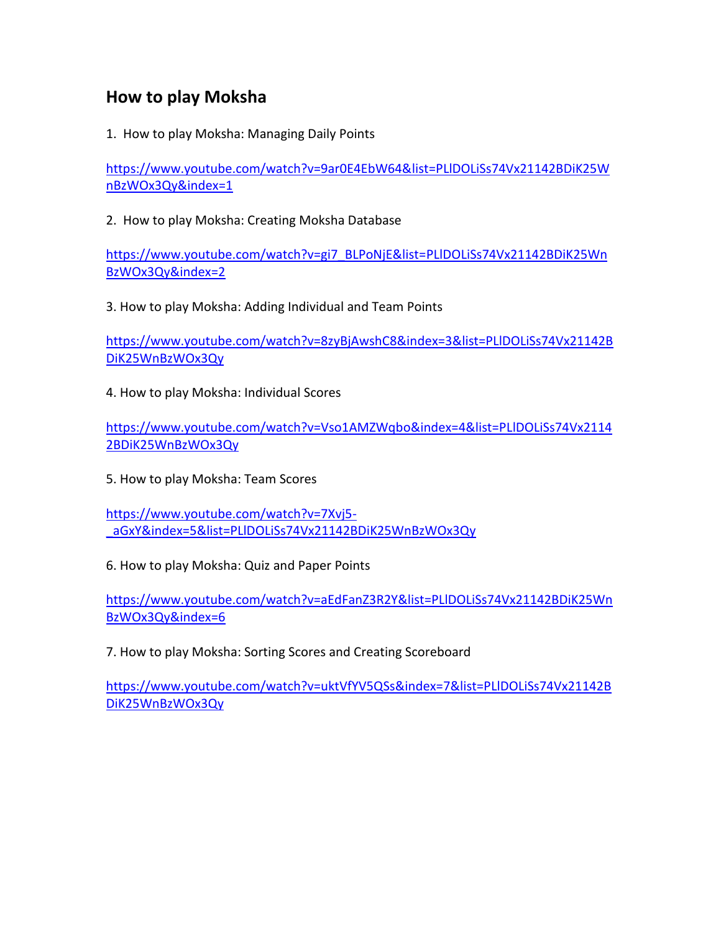### **How to play Moksha**

1. How to play Moksha: Managing Daily Points

[https://www.youtube.com/watch?v=9ar0E4EbW64&list=PLlDOLiSs74Vx21142BDiK25W](https://www.youtube.com/watch?v=9ar0E4EbW64&list=PLlDOLiSs74Vx21142BDiK25WnBzWOx3Qy&index=1) [nBzWOx3Qy&index=1](https://www.youtube.com/watch?v=9ar0E4EbW64&list=PLlDOLiSs74Vx21142BDiK25WnBzWOx3Qy&index=1)

2. How to play Moksha: Creating Moksha Database

[https://www.youtube.com/watch?v=gi7\\_BLPoNjE&list=PLlDOLiSs74Vx21142BDiK25Wn](https://www.youtube.com/watch?v=gi7_BLPoNjE&list=PLlDOLiSs74Vx21142BDiK25WnBzWOx3Qy&index=2) [BzWOx3Qy&index=2](https://www.youtube.com/watch?v=gi7_BLPoNjE&list=PLlDOLiSs74Vx21142BDiK25WnBzWOx3Qy&index=2)

3. How to play Moksha: Adding Individual and Team Points

[https://www.youtube.com/watch?v=8zyBjAwshC8&index=3&list=PLlDOLiSs74Vx21142B](https://www.youtube.com/watch?v=8zyBjAwshC8&index=3&list=PLlDOLiSs74Vx21142BDiK25WnBzWOx3Qy) [DiK25WnBzWOx3Qy](https://www.youtube.com/watch?v=8zyBjAwshC8&index=3&list=PLlDOLiSs74Vx21142BDiK25WnBzWOx3Qy)

4. How to play Moksha: Individual Scores

[https://www.youtube.com/watch?v=Vso1AMZWqbo&index=4&list=PLlDOLiSs74Vx2114](https://www.youtube.com/watch?v=Vso1AMZWqbo&index=4&list=PLlDOLiSs74Vx21142BDiK25WnBzWOx3Qy) [2BDiK25WnBzWOx3Qy](https://www.youtube.com/watch?v=Vso1AMZWqbo&index=4&list=PLlDOLiSs74Vx21142BDiK25WnBzWOx3Qy)

5. How to play Moksha: Team Scores

[https://www.youtube.com/watch?v=7Xvj5-](https://www.youtube.com/watch?v=7Xvj5-_aGxY&index=5&list=PLlDOLiSs74Vx21142BDiK25WnBzWOx3Qy) [\\_aGxY&index=5&list=PLlDOLiSs74Vx21142BDiK25WnBzWOx3Qy](https://www.youtube.com/watch?v=7Xvj5-_aGxY&index=5&list=PLlDOLiSs74Vx21142BDiK25WnBzWOx3Qy)

6. How to play Moksha: Quiz and Paper Points

[https://www.youtube.com/watch?v=aEdFanZ3R2Y&list=PLlDOLiSs74Vx21142BDiK25Wn](https://www.youtube.com/watch?v=aEdFanZ3R2Y&list=PLlDOLiSs74Vx21142BDiK25WnBzWOx3Qy&index=6) [BzWOx3Qy&index=6](https://www.youtube.com/watch?v=aEdFanZ3R2Y&list=PLlDOLiSs74Vx21142BDiK25WnBzWOx3Qy&index=6)

7. How to play Moksha: Sorting Scores and Creating Scoreboard

[https://www.youtube.com/watch?v=uktVfYV5QSs&index=7&list=PLlDOLiSs74Vx21142B](https://www.youtube.com/watch?v=uktVfYV5QSs&index=7&list=PLlDOLiSs74Vx21142BDiK25WnBzWOx3Qy) [DiK25WnBzWOx3Qy](https://www.youtube.com/watch?v=uktVfYV5QSs&index=7&list=PLlDOLiSs74Vx21142BDiK25WnBzWOx3Qy)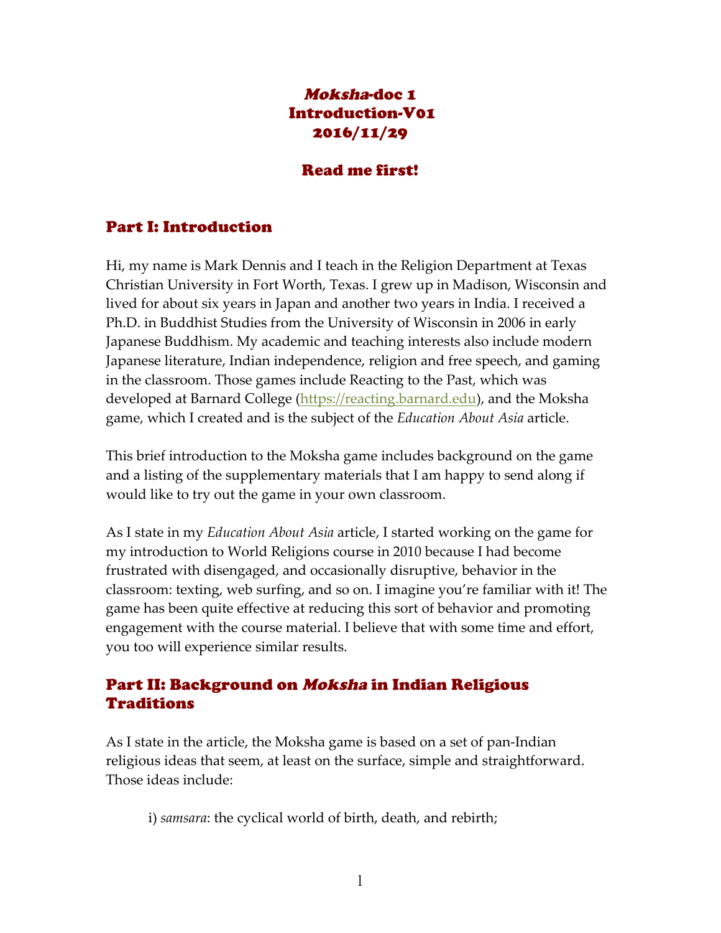### Moksha-doc 1 Introduction-V01 2016/11/29

#### Read me first!

#### Part I: Introduction

Hi, my name is Mark Dennis and I teach in the Religion Department at Texas Christian University in Fort Worth, Texas. I grew up in Madison, Wisconsin and lived for about six years in Japan and another two years in India. I received a Ph.D. in Buddhist Studies from the University of Wisconsin in 2006 in early Japanese Buddhism. My academic and teaching interests also include modern Japanese literature, Indian independence, religion and free speech, and gaming in the classroom. Those games include Reacting to the Past, which was developed at Barnard College (https://reacting.barnard.edu), and the Moksha game, which I created and is the subject of the *Education About Asia* article.

This brief introduction to the Moksha game includes background on the game and a listing of the supplementary materials that I am happy to send along if would like to try out the game in your own classroom.

As I state in my *Education About Asia* article, I started working on the game for my introduction to World Religions course in 2010 because I had become frustrated with disengaged, and occasionally disruptive, behavior in the classroom: texting, web surfing, and so on. I imagine you're familiar with it! The game has been quite effective at reducing this sort of behavior and promoting engagement with the course material. I believe that with some time and effort, you too will experience similar results.

#### Part II: Background on Moksha in Indian Religious Traditions

As I state in the article, the Moksha game is based on a set of pan-Indian religious ideas that seem, at least on the surface, simple and straightforward. Those ideas include:

i) *samsara*: the cyclical world of birth, death, and rebirth;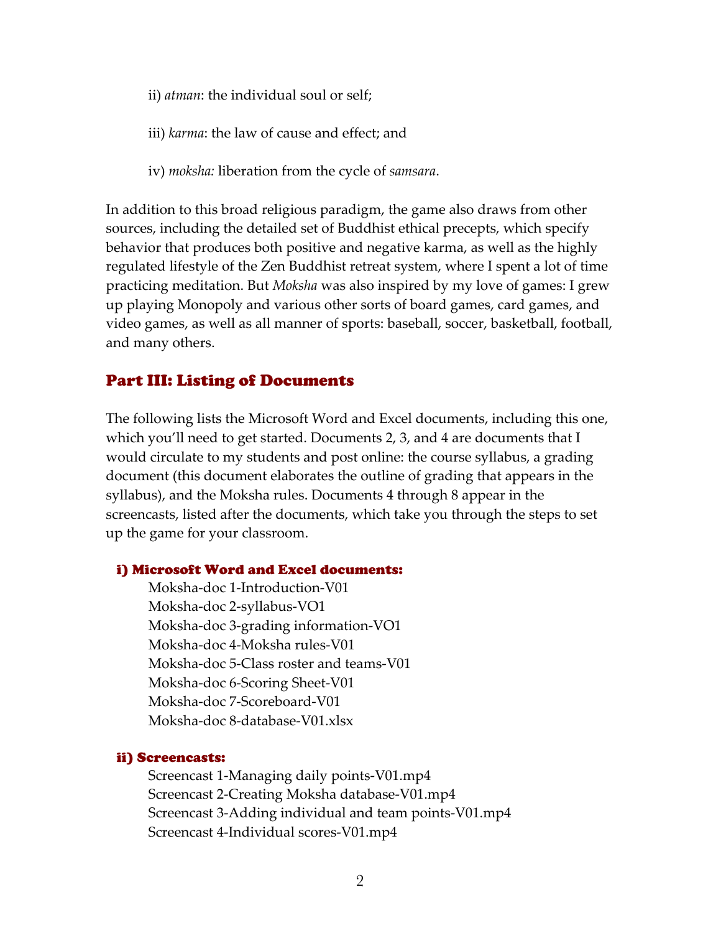- ii) *atman*: the individual soul or self;
- iii) *karma*: the law of cause and effect; and
- iv) *moksha:* liberation from the cycle of *samsara*.

In addition to this broad religious paradigm, the game also draws from other sources, including the detailed set of Buddhist ethical precepts, which specify behavior that produces both positive and negative karma, as well as the highly regulated lifestyle of the Zen Buddhist retreat system, where I spent a lot of time practicing meditation. But *Moksha* was also inspired by my love of games: I grew up playing Monopoly and various other sorts of board games, card games, and video games, as well as all manner of sports: baseball, soccer, basketball, football, and many others.

#### Part III: Listing of Documents

The following lists the Microsoft Word and Excel documents, including this one, which you'll need to get started. Documents 2, 3, and 4 are documents that I would circulate to my students and post online: the course syllabus, a grading document (this document elaborates the outline of grading that appears in the syllabus), and the Moksha rules. Documents 4 through 8 appear in the screencasts, listed after the documents, which take you through the steps to set up the game for your classroom.

#### i) Microsoft Word and Excel documents:

Moksha-doc 1-Introduction-V01 Moksha-doc 2-syllabus-VO1 Moksha-doc 3-grading information-VO1 Moksha-doc 4-Moksha rules-V01 Moksha-doc 5-Class roster and teams-V01 Moksha-doc 6-Scoring Sheet-V01 Moksha-doc 7-Scoreboard-V01 Moksha-doc 8-database-V01.xlsx

#### ii) Screencasts:

Screencast 1-Managing daily points-V01.mp4 Screencast 2-Creating Moksha database-V01.mp4 Screencast 3-Adding individual and team points-V01.mp4 Screencast 4-Individual scores-V01.mp4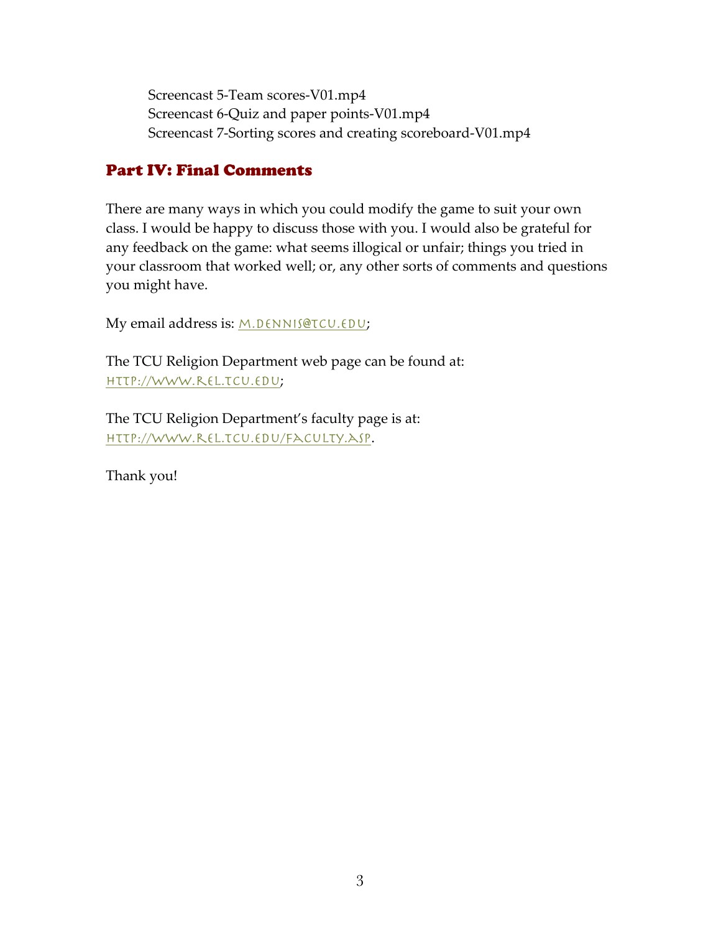Screencast 5-Team scores-V01.mp4 Screencast 6-Quiz and paper points-V01.mp4 Screencast 7-Sorting scores and creating scoreboard-V01.mp4

### Part IV: Final Comments

There are many ways in which you could modify the game to suit your own class. I would be happy to discuss those with you. I would also be grateful for any feedback on the game: what seems illogical or unfair; things you tried in your classroom that worked well; or, any other sorts of comments and questions you might have.

My email address is: M.DENNIS@TCU.EDU;

The TCU Religion Department web page can be found at: http://www.rel.tcu.edu;

The TCU Religion Department's faculty page is at: http://www.rel.tcu.edu/faculty.asp.

Thank you!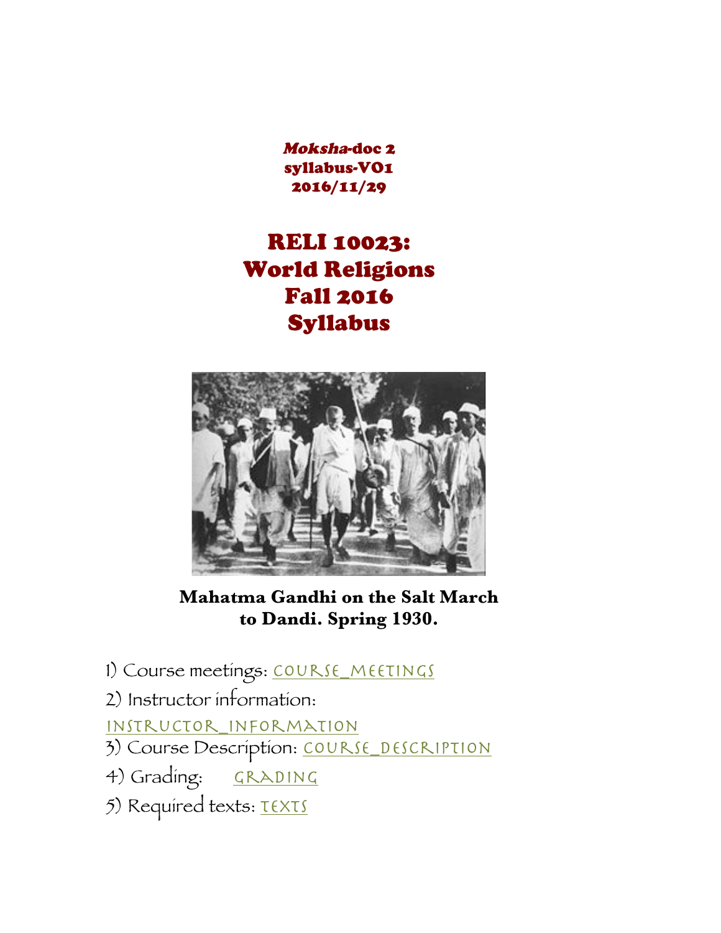Moksha-doc 2 syllabus-VO1 2016/11/29

# RELI 10023: World Religions Fall 2016 Syllabus



**Mahatma Gandhi on the Salt March to Dandi. Spring 1930.**

- 1) Course meetings: COURSE\_MEETINGS
- 2) Instructor information:

instructor\_information

- 3) Course Description: COURSE DESCRIPTION
- 4) Grading: GRADING
- 5) Required texts: TEXTS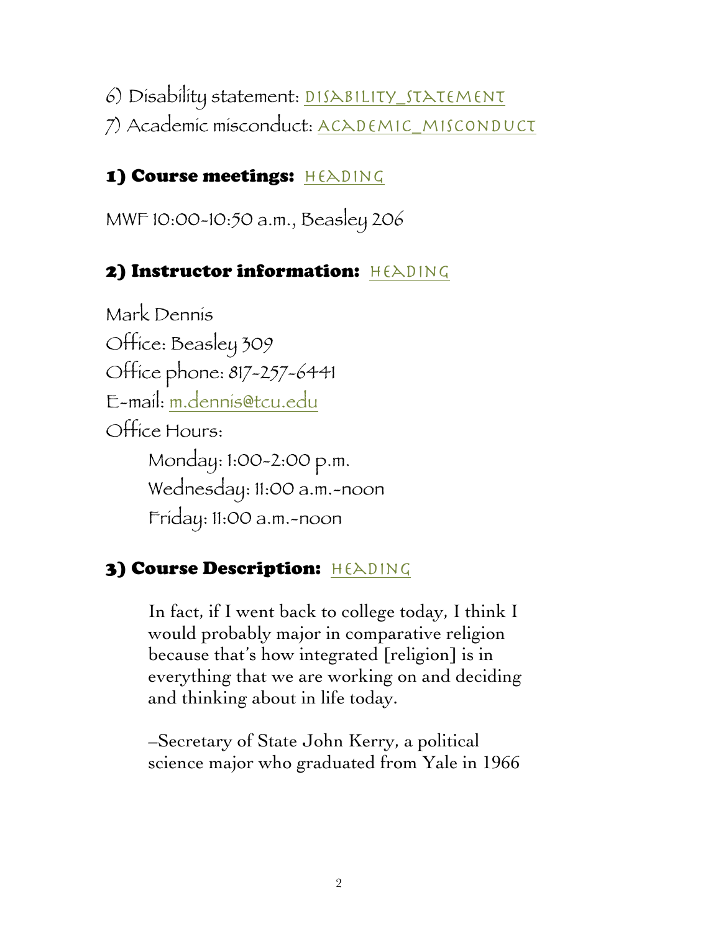6) Disability statement: DISABILITY\_STATEMENT 7) Academic misconduct: ACADEMIC\_MISCONDUCT

# 1) Course meetings: HEADING

MWF 10:00-10:50 a.m., Beasley 206

# 2) Instructor information: HEADING

Mark Dennis Office: Beasley 309 Office phone: 817-257-6441 E-mail: m.dennis@tcu.edu Office Hours: Monday: 1:00-2:00 p.m. Wednesday: 11:00 a.m.-noon Friday: 11:00 a.m.-noon

# 3) Course Description: HEADING

In fact, if I went back to college today, I think I would probably major in comparative religion because that's how integrated [religion] is in everything that we are working on and deciding and thinking about in life today.

–Secretary of State John Kerry, a political science major who graduated from Yale in 1966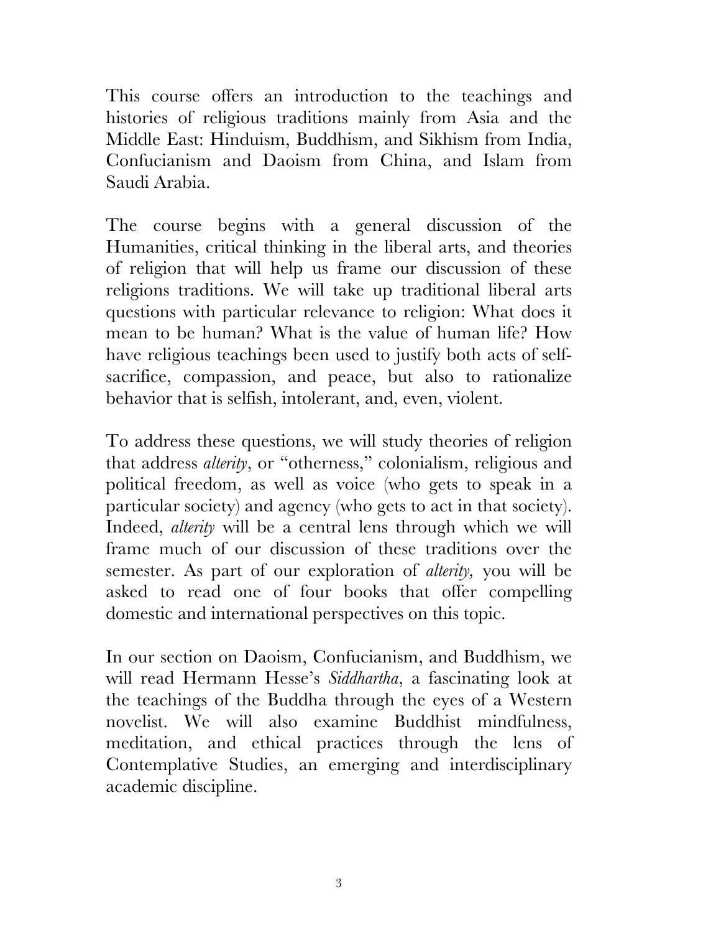This course offers an introduction to the teachings and histories of religious traditions mainly from Asia and the Middle East: Hinduism, Buddhism, and Sikhism from India, Confucianism and Daoism from China, and Islam from Saudi Arabia.

The course begins with a general discussion of the Humanities, critical thinking in the liberal arts, and theories of religion that will help us frame our discussion of these religions traditions. We will take up traditional liberal arts questions with particular relevance to religion: What does it mean to be human? What is the value of human life? How have religious teachings been used to justify both acts of selfsacrifice, compassion, and peace, but also to rationalize behavior that is selfish, intolerant, and, even, violent.

To address these questions, we will study theories of religion that address *alterity*, or "otherness," colonialism, religious and political freedom, as well as voice (who gets to speak in a particular society) and agency (who gets to act in that society). Indeed, *alterity* will be a central lens through which we will frame much of our discussion of these traditions over the semester. As part of our exploration of *alterity,* you will be asked to read one of four books that offer compelling domestic and international perspectives on this topic.

In our section on Daoism, Confucianism, and Buddhism, we will read Hermann Hesse's *Siddhartha*, a fascinating look at the teachings of the Buddha through the eyes of a Western novelist. We will also examine Buddhist mindfulness, meditation, and ethical practices through the lens of Contemplative Studies, an emerging and interdisciplinary academic discipline.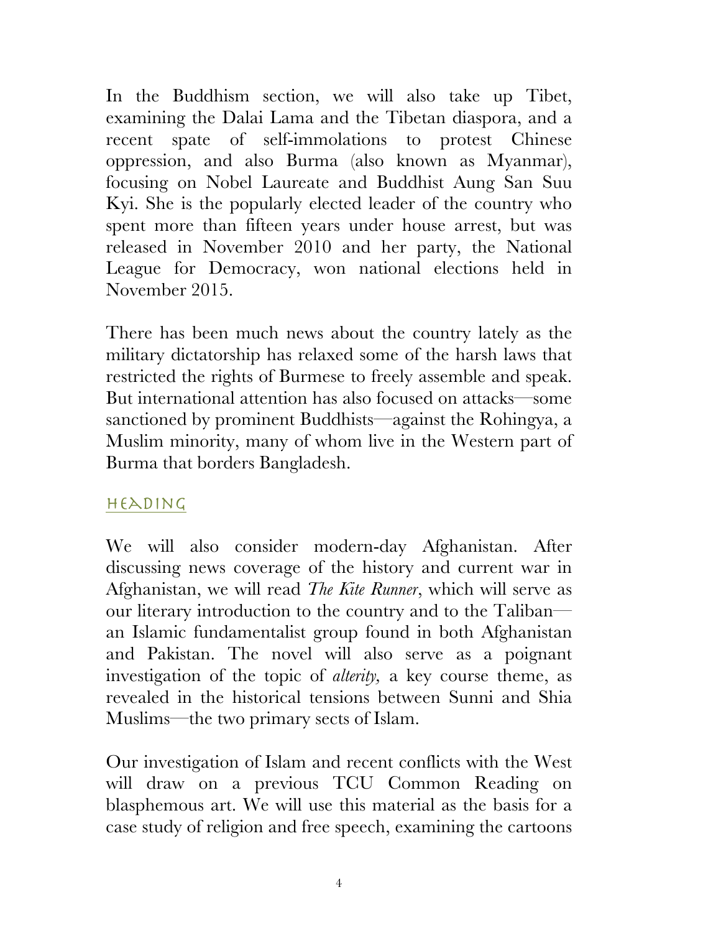In the Buddhism section, we will also take up Tibet, examining the Dalai Lama and the Tibetan diaspora, and a recent spate of self-immolations to protest Chinese oppression, and also Burma (also known as Myanmar), focusing on Nobel Laureate and Buddhist Aung San Suu Kyi. She is the popularly elected leader of the country who spent more than fifteen years under house arrest, but was released in November 2010 and her party, the National League for Democracy, won national elections held in November 2015.

There has been much news about the country lately as the military dictatorship has relaxed some of the harsh laws that restricted the rights of Burmese to freely assemble and speak. But international attention has also focused on attacks—some sanctioned by prominent Buddhists—against the Rohingya, a Muslim minority, many of whom live in the Western part of Burma that borders Bangladesh.

### heading

We will also consider modern-day Afghanistan. After discussing news coverage of the history and current war in Afghanistan, we will read *The Kite Runner*, which will serve as our literary introduction to the country and to the Taliban an Islamic fundamentalist group found in both Afghanistan and Pakistan. The novel will also serve as a poignant investigation of the topic of *alterity,* a key course theme, as revealed in the historical tensions between Sunni and Shia Muslims—the two primary sects of Islam.

Our investigation of Islam and recent conflicts with the West will draw on a previous TCU Common Reading on blasphemous art. We will use this material as the basis for a case study of religion and free speech, examining the cartoons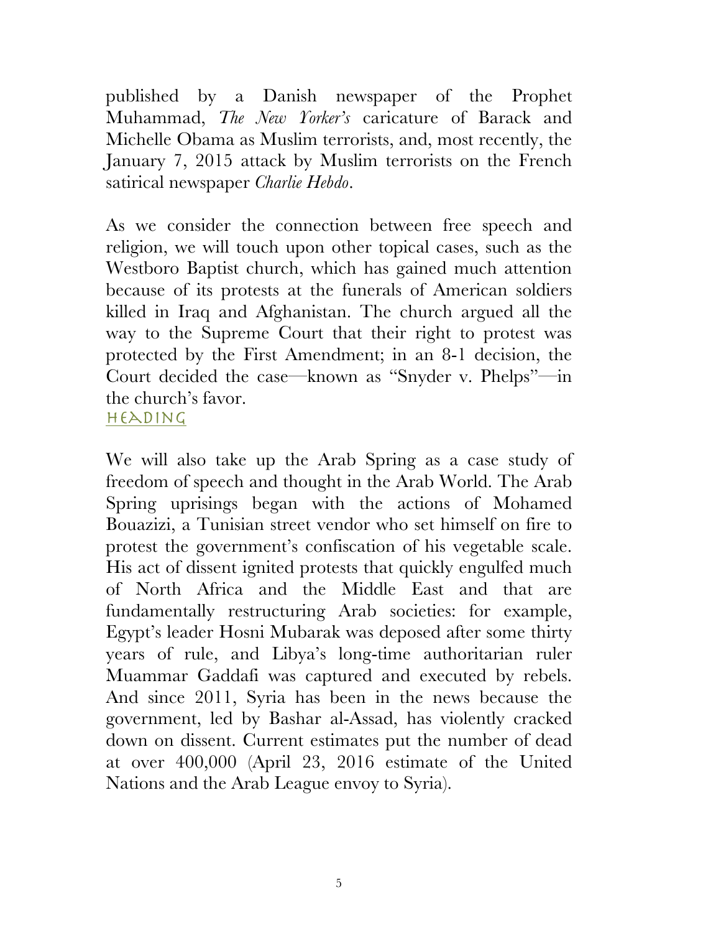published by a Danish newspaper of the Prophet Muhammad, *The New Yorker's* caricature of Barack and Michelle Obama as Muslim terrorists, and, most recently, the January 7, 2015 attack by Muslim terrorists on the French satirical newspaper *Charlie Hebdo*.

As we consider the connection between free speech and religion, we will touch upon other topical cases, such as the Westboro Baptist church, which has gained much attention because of its protests at the funerals of American soldiers killed in Iraq and Afghanistan. The church argued all the way to the Supreme Court that their right to protest was protected by the First Amendment; in an 8-1 decision, the Court decided the case—known as "Snyder v. Phelps"—in the church's favor.

 $H(EADING)$ 

We will also take up the Arab Spring as a case study of freedom of speech and thought in the Arab World. The Arab Spring uprisings began with the actions of Mohamed Bouazizi, a Tunisian street vendor who set himself on fire to protest the government's confiscation of his vegetable scale. His act of dissent ignited protests that quickly engulfed much of North Africa and the Middle East and that are fundamentally restructuring Arab societies: for example, Egypt's leader Hosni Mubarak was deposed after some thirty years of rule, and Libya's long-time authoritarian ruler Muammar Gaddafi was captured and executed by rebels. And since 2011, Syria has been in the news because the government, led by Bashar al-Assad, has violently cracked down on dissent. Current estimates put the number of dead at over 400,000 (April 23, 2016 estimate of the United Nations and the Arab League envoy to Syria).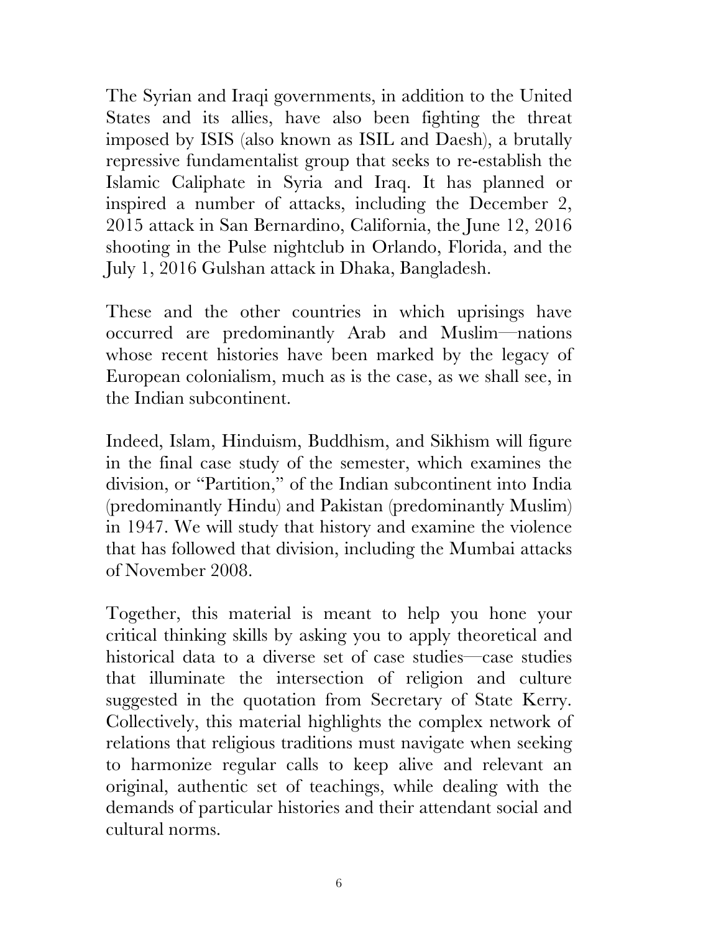The Syrian and Iraqi governments, in addition to the United States and its allies, have also been fighting the threat imposed by ISIS (also known as ISIL and Daesh), a brutally repressive fundamentalist group that seeks to re-establish the Islamic Caliphate in Syria and Iraq. It has planned or inspired a number of attacks, including the December 2, 2015 attack in San Bernardino, California, the June 12, 2016 shooting in the Pulse nightclub in Orlando, Florida, and the July 1, 2016 Gulshan attack in Dhaka, Bangladesh.

These and the other countries in which uprisings have occurred are predominantly Arab and Muslim—nations whose recent histories have been marked by the legacy of European colonialism, much as is the case, as we shall see, in the Indian subcontinent.

Indeed, Islam, Hinduism, Buddhism, and Sikhism will figure in the final case study of the semester, which examines the division, or "Partition," of the Indian subcontinent into India (predominantly Hindu) and Pakistan (predominantly Muslim) in 1947. We will study that history and examine the violence that has followed that division, including the Mumbai attacks of November 2008.

Together, this material is meant to help you hone your critical thinking skills by asking you to apply theoretical and historical data to a diverse set of case studies—case studies that illuminate the intersection of religion and culture suggested in the quotation from Secretary of State Kerry. Collectively, this material highlights the complex network of relations that religious traditions must navigate when seeking to harmonize regular calls to keep alive and relevant an original, authentic set of teachings, while dealing with the demands of particular histories and their attendant social and cultural norms.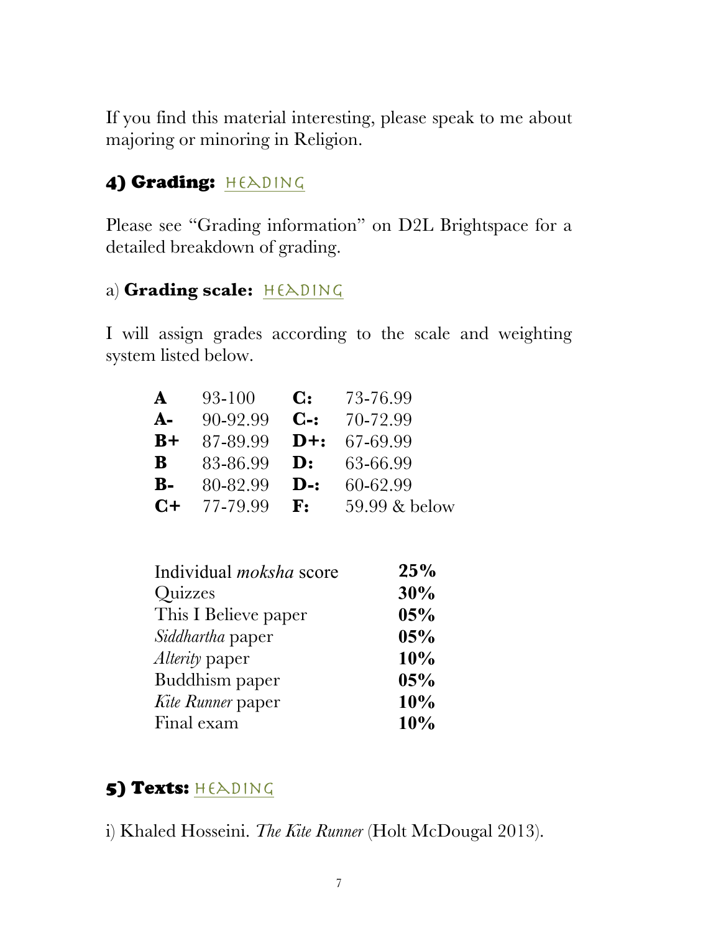If you find this material interesting, please speak to me about majoring or minoring in Religion.

# 4) Grading: HEADING

Please see "Grading information" on D2L Brightspace for a detailed breakdown of grading.

### a) Grading scale: HEADING

I will assign grades according to the scale and weighting system listed below.

| $\mathbf{A}$   | 93-100   | $\mathbf{C}$ :  | 73-76.99      |
|----------------|----------|-----------------|---------------|
| $A-$           | 90-92.99 | $C-$ :          | 70-72.99      |
| $B+$           | 87-89.99 | $\mathbf{D}+$ : | 67-69.99      |
| B              | 83-86.99 | $\mathbf{D}$ :  | 63-66.99      |
| $\mathbf{B}$ - | 80-82.99 | $\mathbf{D}$ -: | 60-62.99      |
| $C+$           | 77-79.99 | $\mathbf{F}$ :  | 59.99 & below |

| Individual <i>moksha</i> score | 25% |
|--------------------------------|-----|
| Quizzes                        | 30% |
| This I Believe paper           | 05% |
| <i>Siddhartha</i> paper        | 05% |
| Alterity paper                 | 10% |
| Buddhism paper                 | 05% |
| Kite Runner paper              | 10% |
| Final exam                     | 10% |

## 5) Texts: HEADING

i) Khaled Hosseini. *The Kite Runner* (Holt McDougal 2013).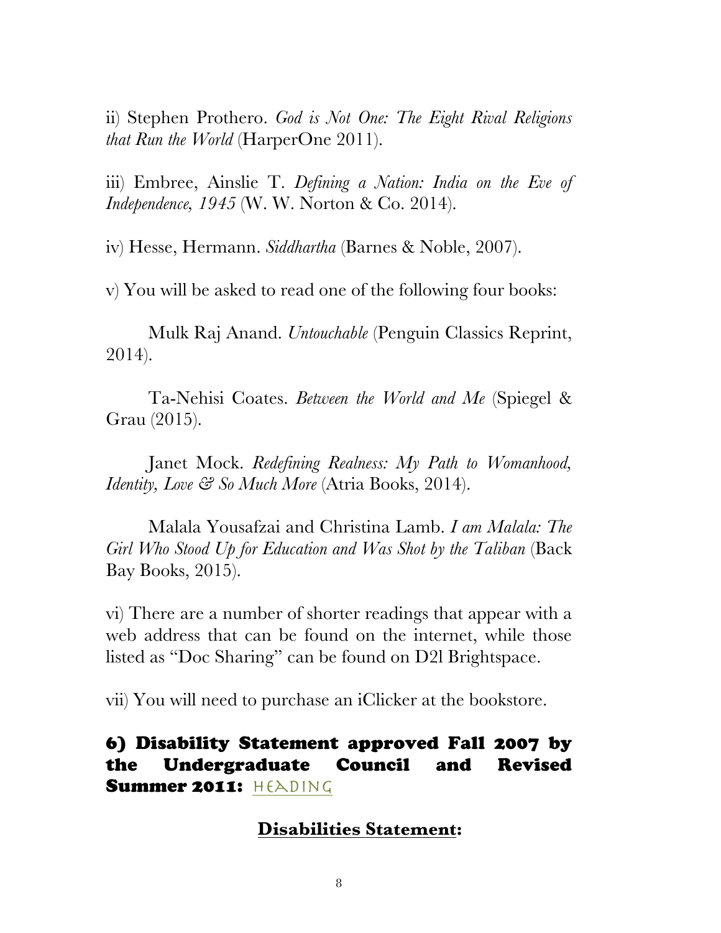ii) Stephen Prothero. *God is Not One: The Eight Rival Religions that Run the World* (HarperOne 2011).

iii) Embree, Ainslie T. *Defining a Nation: India on the Eve of Independence, 1945* (W. W. Norton & Co. 2014).

iv) Hesse, Hermann. *Siddhartha* (Barnes & Noble, 2007).

v) You will be asked to read one of the following four books:

Mulk Raj Anand. *Untouchable* (Penguin Classics Reprint, 2014).

Ta-Nehisi Coates. *Between the World and Me* (Spiegel & Grau (2015).

Janet Mock. *Redefining Realness: My Path to Womanhood, Identity, Love & So Much More* (Atria Books, 2014).

Malala Yousafzai and Christina Lamb. *I am Malala: The Girl Who Stood Up for Education and Was Shot by the Taliban* (Back Bay Books, 2015).

vi) There are a number of shorter readings that appear with a web address that can be found on the internet, while those listed as "Doc Sharing" can be found on D2l Brightspace.

vii) You will need to purchase an iClicker at the bookstore.

### 6) Disability Statement approved Fall 2007 by the Undergraduate Council and Revised Summer 2011:  $H(E)$ ing

### **Disabilities Statement:**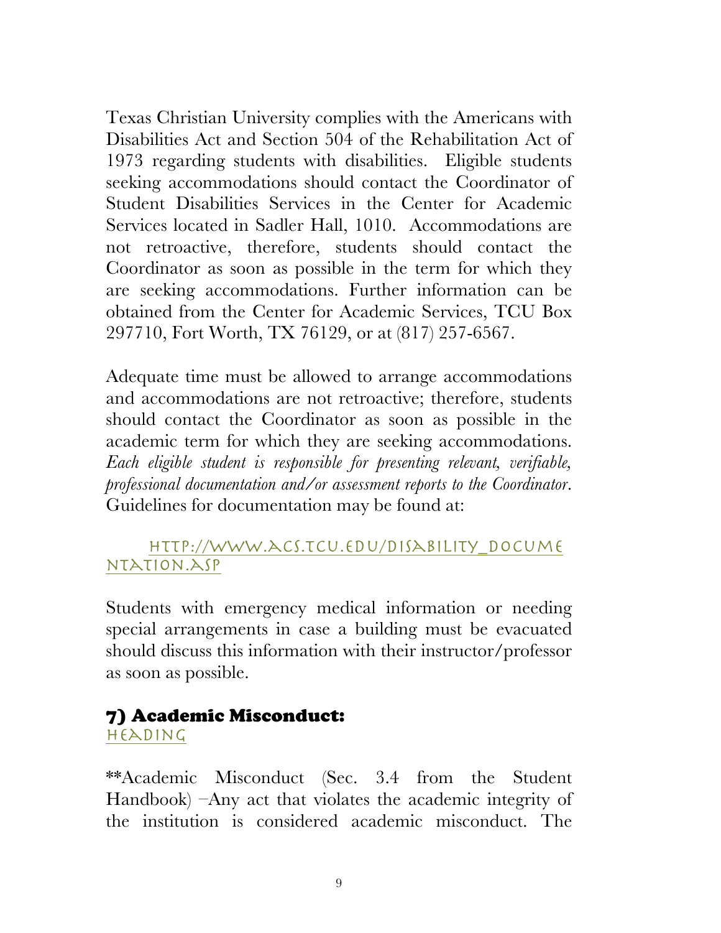Texas Christian University complies with the Americans with Disabilities Act and Section 504 of the Rehabilitation Act of 1973 regarding students with disabilities. Eligible students seeking accommodations should contact the Coordinator of Student Disabilities Services in the Center for Academic Services located in Sadler Hall, 1010. Accommodations are not retroactive, therefore, students should contact the Coordinator as soon as possible in the term for which they are seeking accommodations. Further information can be obtained from the Center for Academic Services, TCU Box 297710, Fort Worth, TX 76129, or at (817) 257-6567.

Adequate time must be allowed to arrange accommodations and accommodations are not retroactive; therefore, students should contact the Coordinator as soon as possible in the academic term for which they are seeking accommodations. *Each eligible student is responsible for presenting relevant, verifiable, professional documentation and/or assessment reports to the Coordinator*. Guidelines for documentation may be found at:

### http://www.acs.tcu.edu/disability\_docume ntation.asp

Students with emergency medical information or needing special arrangements in case a building must be evacuated should discuss this information with their instructor/professor as soon as possible.

# 7) Academic Misconduct:

heading

\*\*Academic Misconduct (Sec. 3.4 from the Student Handbook) –Any act that violates the academic integrity of the institution is considered academic misconduct. The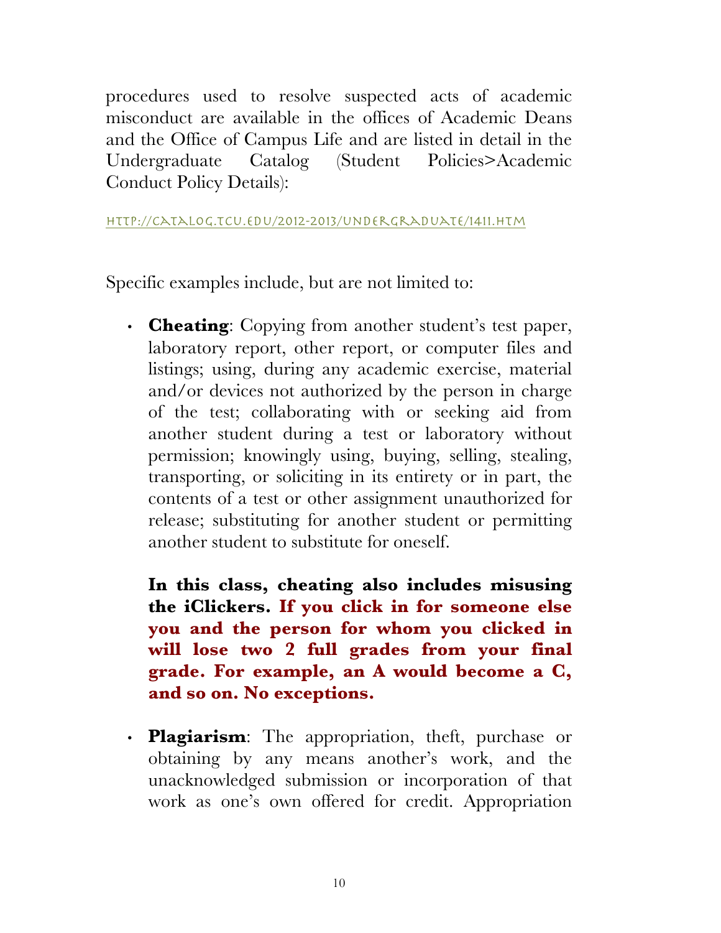procedures used to resolve suspected acts of academic misconduct are available in the offices of Academic Deans and the Office of Campus Life and are listed in detail in the Undergraduate Catalog (Student Policies>Academic Conduct Policy Details):

http://catalog.tcu.edu/2012-2013/undergraduate/1411.htm

Specific examples include, but are not limited to:

• **Cheating**: Copying from another student's test paper, laboratory report, other report, or computer files and listings; using, during any academic exercise, material and/or devices not authorized by the person in charge of the test; collaborating with or seeking aid from another student during a test or laboratory without permission; knowingly using, buying, selling, stealing, transporting, or soliciting in its entirety or in part, the contents of a test or other assignment unauthorized for release; substituting for another student or permitting another student to substitute for oneself.

**In this class, cheating also includes misusing the iClickers. If you click in for someone else you and the person for whom you clicked in will lose two 2 full grades from your final grade. For example, an A would become a C, and so on. No exceptions.**

• **Plagiarism**: The appropriation, theft, purchase or obtaining by any means another's work, and the unacknowledged submission or incorporation of that work as one's own offered for credit. Appropriation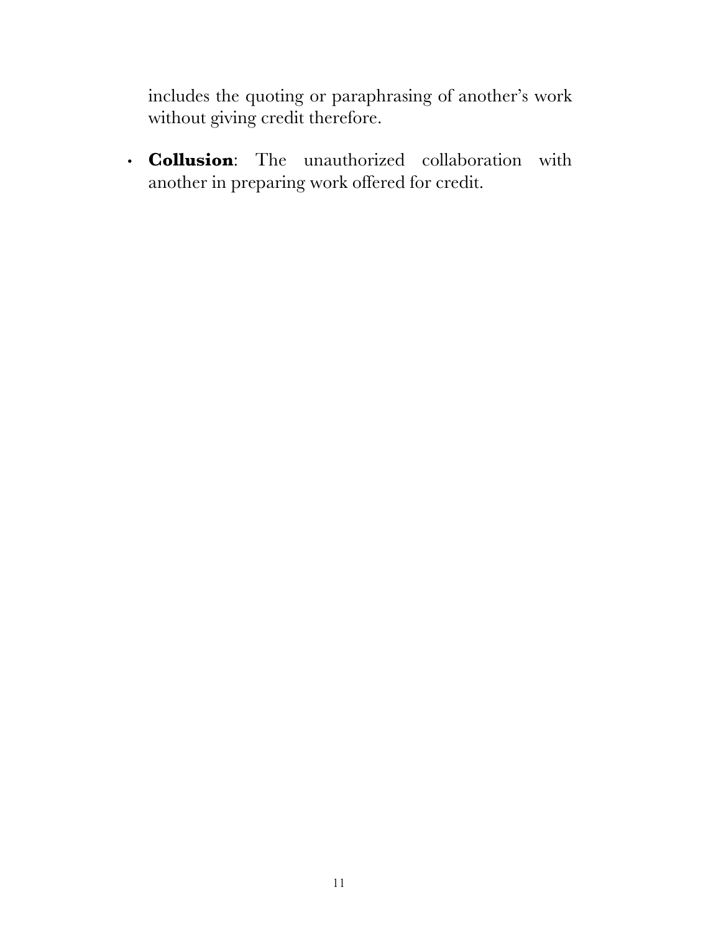includes the quoting or paraphrasing of another's work without giving credit therefore.

• **Collusion**: The unauthorized collaboration with another in preparing work offered for credit.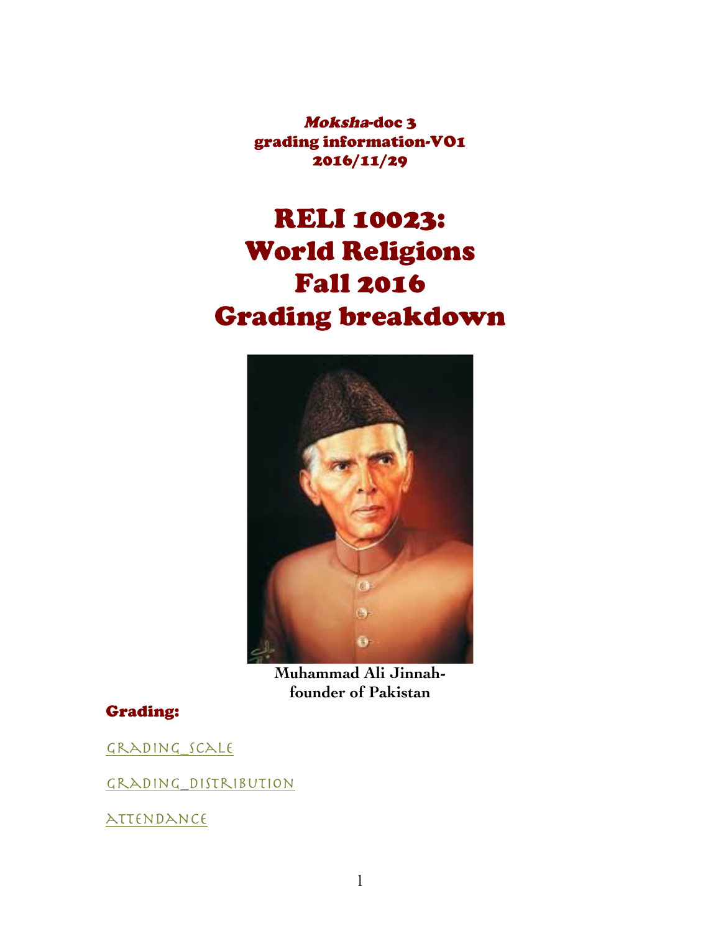Moksha-doc 3 grading information-VO1 2016/11/29

# RELI 10023: World Religions Fall 2016 Grading breakdown



**Muhammad Ali Jinnahfounder of Pakistan**

### Grading:

grading\_scale

grading\_distribution

attendance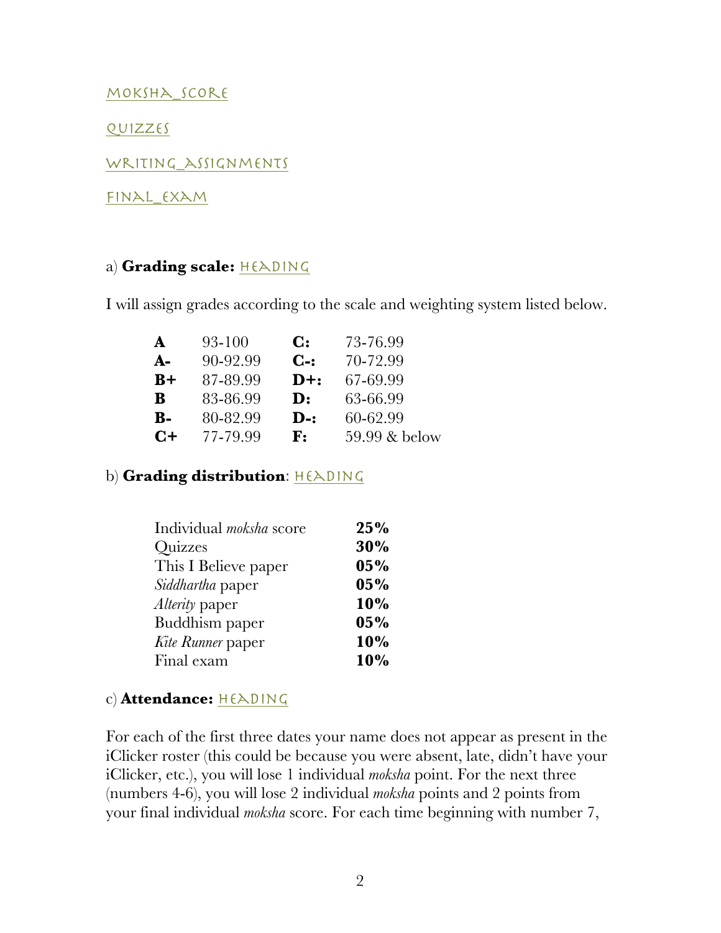moksha\_score

quizzes

Writing\_assignments

final\_exam

#### a) Grading scale: HEADING

I will assign grades according to the scale and weighting system listed below.

| A              | 93-100   | $\mathbf{C}$ :  | 73-76.99      |
|----------------|----------|-----------------|---------------|
| $A-$           | 90-92.99 | $C-$ :          | 70-72.99      |
| $B+$           | 87-89.99 | $D+$ :          | 67-69.99      |
| B              | 83-86.99 | $\mathbf{D}$ :  | 63-66.99      |
| $\mathbf{B}$ - | 80-82.99 | $\mathbf{D}$ -: | 60-62.99      |
| $C+$           | 77-79.99 | ${\bf F}$ :     | 59.99 & below |
|                |          |                 |               |

#### b) Grading distribution: HEADING

| Individual <i>moksha</i> score | 25% |
|--------------------------------|-----|
| Quizzes                        | 30% |
| This I Believe paper           | 05% |
| <i>Siddhartha</i> paper        | 05% |
| <i>Alterity</i> paper          | 10% |
| Buddhism paper                 | 05% |
| Kite Runner paper              | 10% |
| Final exam                     | 10% |

#### c) **Attendance:** HEADING

For each of the first three dates your name does not appear as present in the iClicker roster (this could be because you were absent, late, didn't have your iClicker, etc.), you will lose 1 individual *moksha* point. For the next three (numbers 4-6), you will lose 2 individual *moksha* points and 2 points from your final individual *moksha* score. For each time beginning with number 7,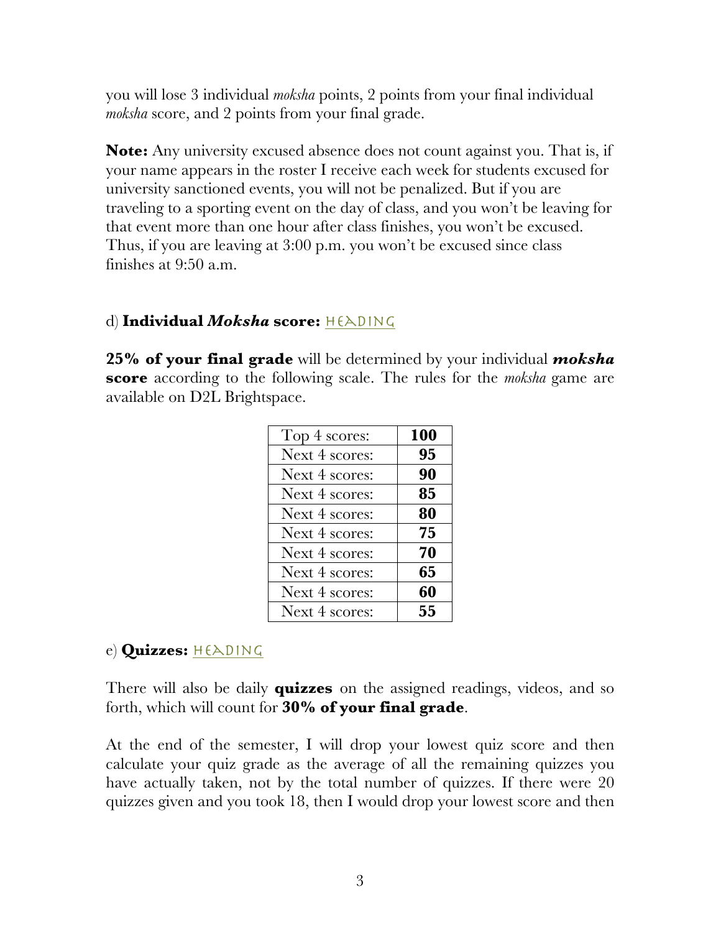you will lose 3 individual *moksha* points, 2 points from your final individual *moksha* score, and 2 points from your final grade.

**Note:** Any university excused absence does not count against you. That is, if your name appears in the roster I receive each week for students excused for university sanctioned events, you will not be penalized. But if you are traveling to a sporting event on the day of class, and you won't be leaving for that event more than one hour after class finishes, you won't be excused. Thus, if you are leaving at 3:00 p.m. you won't be excused since class finishes at 9:50 a.m.

#### d) Individual *Moksha* score: HEADING

**25% of your final grade** will be determined by your individual *moksha* **score** according to the following scale. The rules for the *moksha* game are available on D2L Brightspace.

| Top 4 scores:  | 100 |
|----------------|-----|
| Next 4 scores: | 95  |
| Next 4 scores: | 90  |
| Next 4 scores: | 85  |
| Next 4 scores: | 80  |
| Next 4 scores: | 75  |
| Next 4 scores: | 70  |
| Next 4 scores: | 65  |
| Next 4 scores: | 60  |
| Next 4 scores: | 55  |

### e) **Quizzes:** HEADING

There will also be daily **quizzes** on the assigned readings, videos, and so forth, which will count for **30% of your final grade**.

At the end of the semester, I will drop your lowest quiz score and then calculate your quiz grade as the average of all the remaining quizzes you have actually taken, not by the total number of quizzes. If there were 20 quizzes given and you took 18, then I would drop your lowest score and then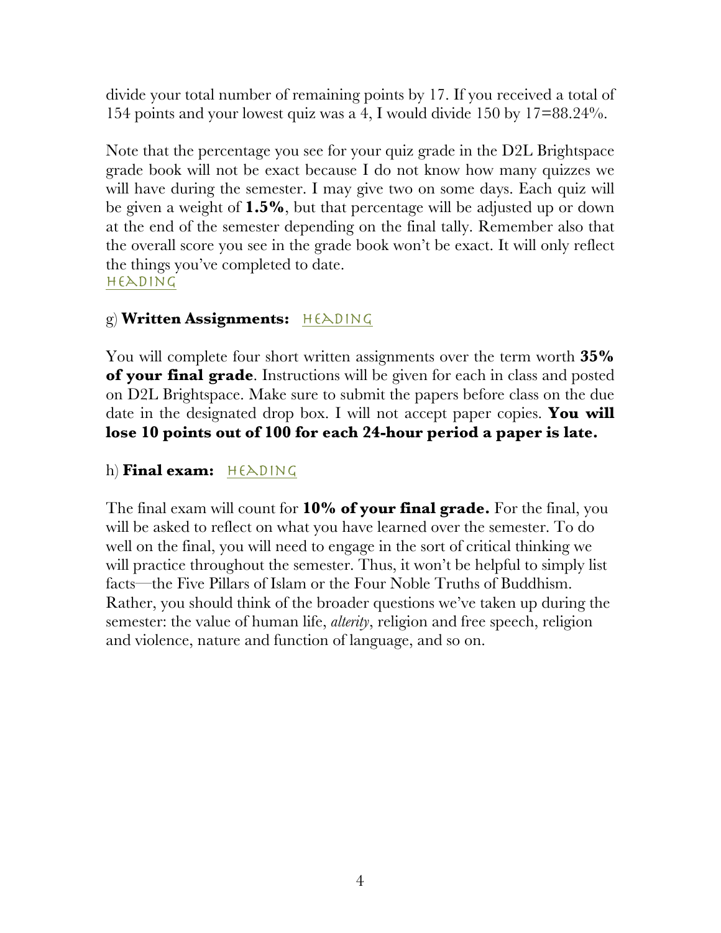divide your total number of remaining points by 17. If you received a total of 154 points and your lowest quiz was a 4, I would divide 150 by 17=88.24%.

Note that the percentage you see for your quiz grade in the D2L Brightspace grade book will not be exact because I do not know how many quizzes we will have during the semester. I may give two on some days. Each quiz will be given a weight of **1.5%**, but that percentage will be adjusted up or down at the end of the semester depending on the final tally. Remember also that the overall score you see in the grade book won't be exact. It will only reflect the things you've completed to date. heading

### g) Written Assignments: HEADING

You will complete four short written assignments over the term worth **35% of your final grade**. Instructions will be given for each in class and posted on D2L Brightspace. Make sure to submit the papers before class on the due date in the designated drop box. I will not accept paper copies. **You will lose 10 points out of 100 for each 24-hour period a paper is late.**

### h) **Final exam:** HEADING

The final exam will count for **10% of your final grade.** For the final, you will be asked to reflect on what you have learned over the semester. To do well on the final, you will need to engage in the sort of critical thinking we will practice throughout the semester. Thus, it won't be helpful to simply list facts—the Five Pillars of Islam or the Four Noble Truths of Buddhism. Rather, you should think of the broader questions we've taken up during the semester: the value of human life, *alterity*, religion and free speech, religion and violence, nature and function of language, and so on.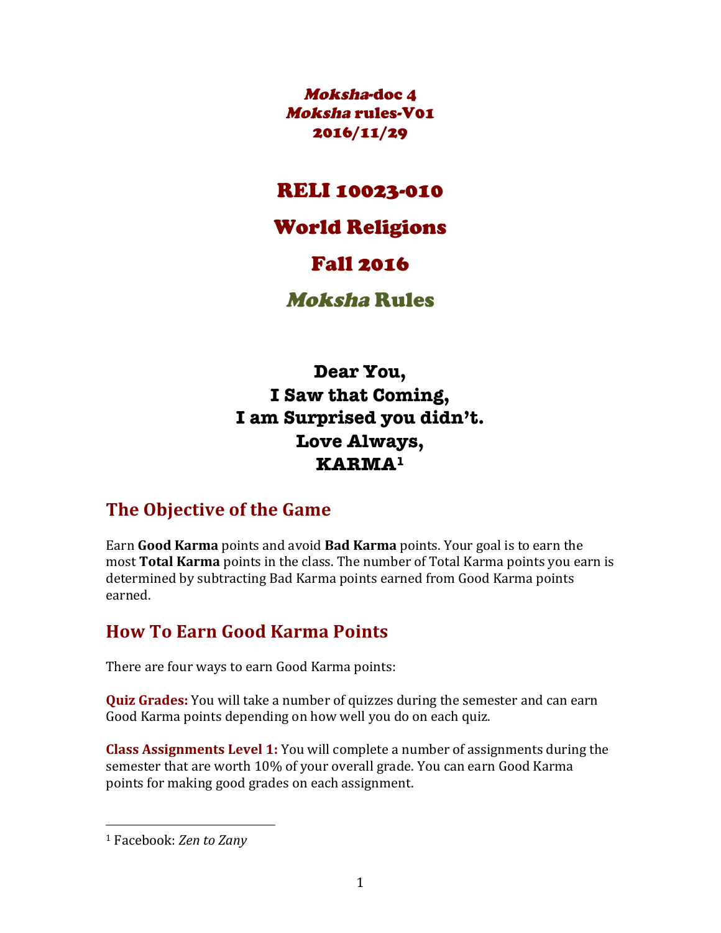Moksha-doc 4 Moksha rules-V01 2016/11/29

### RELI 10023-010

### World Religions

## Fall 2016

## Moksha Rules

**Dear You, I Saw that Coming, I am Surprised you didn't. Love Always, KARMA1**

## **The Objective of the Game**

Earn Good Karma points and avoid Bad Karma points. Your goal is to earn the most **Total Karma** points in the class. The number of Total Karma points you earn is determined by subtracting Bad Karma points earned from Good Karma points earned.

## **How To Earn Good Karma Points**

There are four ways to earn Good Karma points:

**Quiz Grades:** You will take a number of quizzes during the semester and can earn Good Karma points depending on how well you do on each quiz.

**Class Assignments Level 1:** You will complete a number of assignments during the semester that are worth 10% of your overall grade. You can earn Good Karma points for making good grades on each assignment.

 

<sup>&</sup>lt;sup>1</sup> Facebook: *Zen to Zany*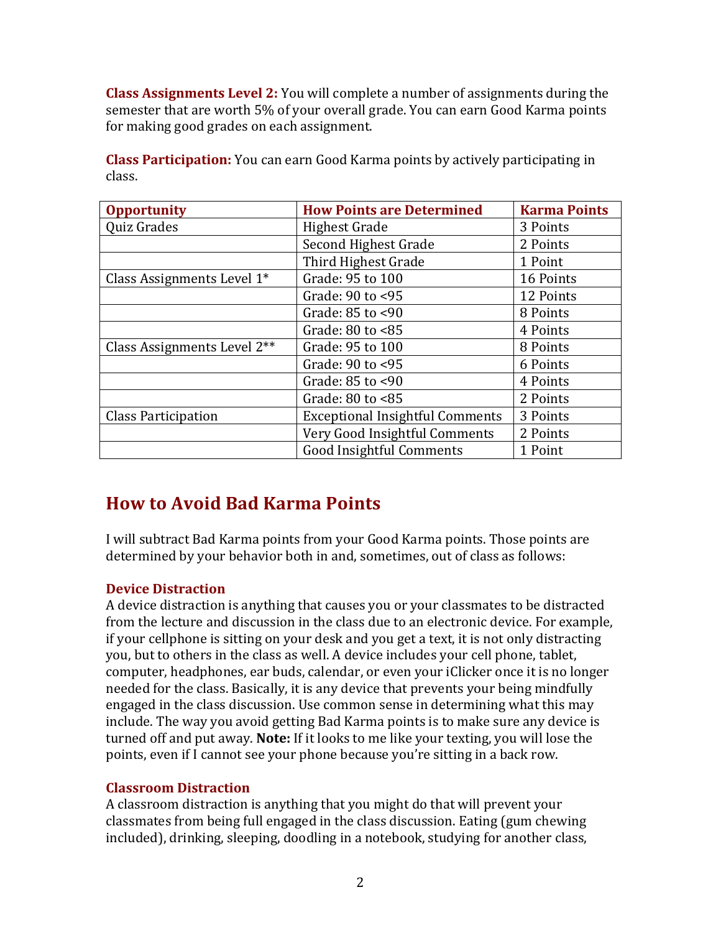**Class Assignments Level 2:** You will complete a number of assignments during the semester that are worth 5% of your overall grade. You can earn Good Karma points for making good grades on each assignment.

**Class Participation:** You can earn Good Karma points by actively participating in class.

| <b>Opportunity</b>          | <b>How Points are Determined</b>       | <b>Karma Points</b> |
|-----------------------------|----------------------------------------|---------------------|
| Quiz Grades                 | <b>Highest Grade</b>                   | 3 Points            |
|                             | Second Highest Grade                   | 2 Points            |
|                             | Third Highest Grade                    | 1 Point             |
| Class Assignments Level 1*  | Grade: 95 to 100                       | 16 Points           |
|                             | Grade: 90 to <95                       | 12 Points           |
|                             | Grade: 85 to <90                       | 8 Points            |
|                             | Grade: 80 to <85                       | 4 Points            |
| Class Assignments Level 2** | Grade: 95 to 100                       | 8 Points            |
|                             | Grade: 90 to <95                       | 6 Points            |
|                             | Grade: 85 to <90                       | 4 Points            |
|                             | Grade: $80$ to $<85$                   | 2 Points            |
| <b>Class Participation</b>  | <b>Exceptional Insightful Comments</b> | 3 Points            |
|                             | Very Good Insightful Comments          | 2 Points            |
|                             | <b>Good Insightful Comments</b>        | 1 Point             |

## **How to Avoid Bad Karma Points**

I will subtract Bad Karma points from your Good Karma points. Those points are determined by your behavior both in and, sometimes, out of class as follows:

#### **Device Distraction**

A device distraction is anything that causes you or your classmates to be distracted from the lecture and discussion in the class due to an electronic device. For example, if your cellphone is sitting on your desk and you get a text, it is not only distracting you, but to others in the class as well. A device includes your cell phone, tablet, computer, headphones, ear buds, calendar, or even your iClicker once it is no longer needed for the class. Basically, it is any device that prevents your being mindfully engaged in the class discussion. Use common sense in determining what this may include. The way you avoid getting Bad Karma points is to make sure any device is turned off and put away. Note: If it looks to me like your texting, you will lose the points, even if I cannot see your phone because you're sitting in a back row.

#### **Classroom Distraction**

A classroom distraction is anything that you might do that will prevent your classmates from being full engaged in the class discussion. Eating (gum chewing included), drinking, sleeping, doodling in a notebook, studying for another class,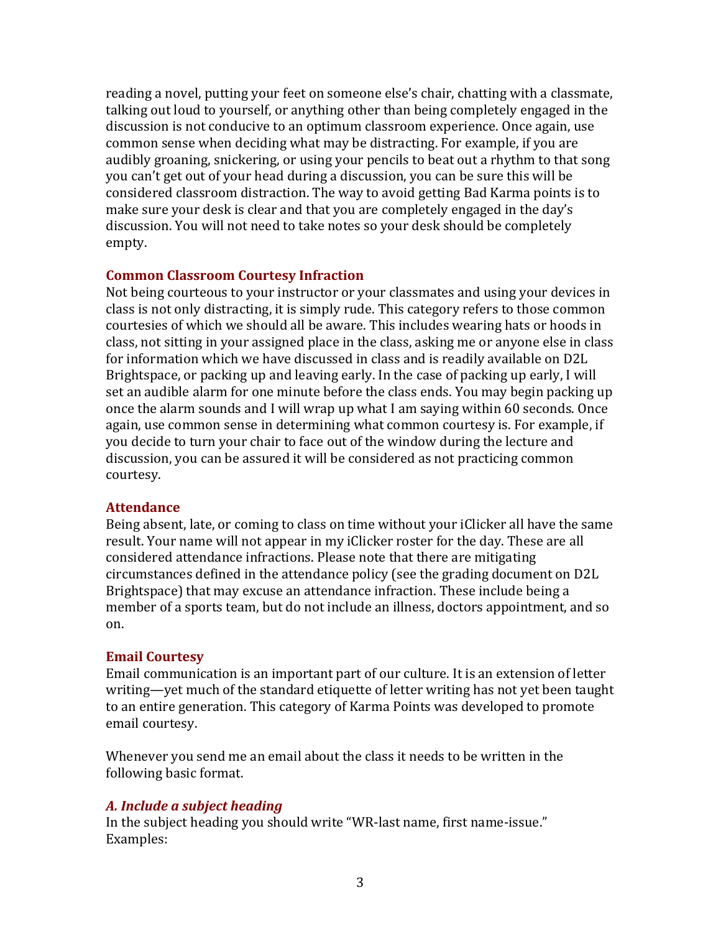reading a novel, putting your feet on someone else's chair, chatting with a classmate, talking out loud to yourself, or anything other than being completely engaged in the discussion is not conducive to an optimum classroom experience. Once again, use common sense when deciding what may be distracting. For example, if you are audibly groaning, snickering, or using your pencils to beat out a rhythm to that song you can't get out of your head during a discussion, you can be sure this will be considered classroom distraction. The way to avoid getting Bad Karma points is to make sure your desk is clear and that you are completely engaged in the day's discussion. You will not need to take notes so your desk should be completely empty.

#### **Common Classroom Courtesy Infraction**

Not being courteous to your instructor or your classmates and using your devices in class is not only distracting, it is simply rude. This category refers to those common courtesies of which we should all be aware. This includes wearing hats or hoods in class, not sitting in your assigned place in the class, asking me or anyone else in class for information which we have discussed in class and is readily available on D2L Brightspace, or packing up and leaving early. In the case of packing up early, I will set an audible alarm for one minute before the class ends. You may begin packing up once the alarm sounds and I will wrap up what I am saying within 60 seconds. Once again, use common sense in determining what common courtesy is. For example, if you decide to turn your chair to face out of the window during the lecture and discussion, you can be assured it will be considered as not practicing common courtesy.

#### **Attendance**

Being absent, late, or coming to class on time without your iClicker all have the same result. Your name will not appear in my iClicker roster for the day. These are all considered attendance infractions. Please note that there are mitigating circumstances defined in the attendance policy (see the grading document on D2L Brightspace) that may excuse an attendance infraction. These include being a member of a sports team, but do not include an illness, doctors appointment, and so on.

#### **Email Courtesy**

Email communication is an important part of our culture. It is an extension of letter writing—yet much of the standard etiquette of letter writing has not yet been taught to an entire generation. This category of Karma Points was developed to promote email courtesy. 

Whenever you send me an email about the class it needs to be written in the following basic format.

#### *A. Include a subject heading*

In the subject heading you should write "WR-last name, first name-issue." Examples: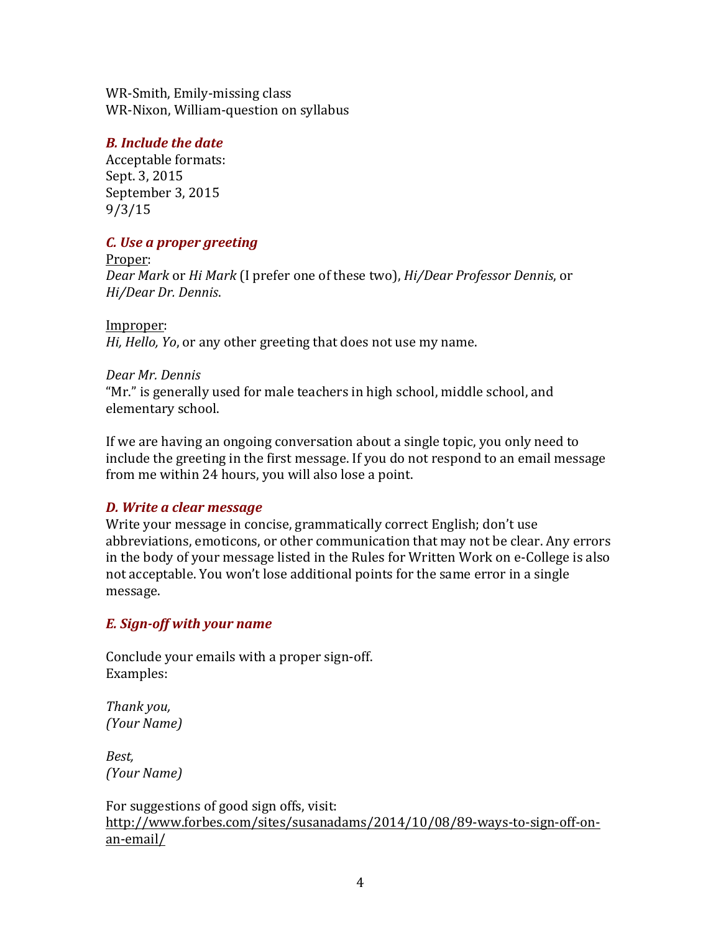WR-Smith, Emily-missing class WR-Nixon, William-question on syllabus

#### *B. Include the date*

Acceptable formats: Sept. 3, 2015 September 3, 2015 9/3/15

#### *C. Use a proper greeting*

Proper: *Dear Mark* or *Hi Mark* (I prefer one of these two), *Hi/Dear Professor Dennis*, or *Hi/Dear Dr. Dennis*.

Improper: *Hi, Hello, Yo, or any other greeting that does not use my name.* 

#### *Dear Mr. Dennis*

"Mr." is generally used for male teachers in high school, middle school, and elementary school.

If we are having an ongoing conversation about a single topic, you only need to include the greeting in the first message. If you do not respond to an email message from me within 24 hours, you will also lose a point.

#### *D. Write a clear message*

Write your message in concise, grammatically correct English; don't use abbreviations, emoticons, or other communication that may not be clear. Any errors in the body of your message listed in the Rules for Written Work on e-College is also not acceptable. You won't lose additional points for the same error in a single message.

#### *E. Sign-off with your name*

Conclude your emails with a proper sign-off. Examples:

*Thank you, (Your Name)*

*Best, (Your Name)*

For suggestions of good sign offs, visit: http://www.forbes.com/sites/susanadams/2014/10/08/89-ways-to-sign-off-onan-email/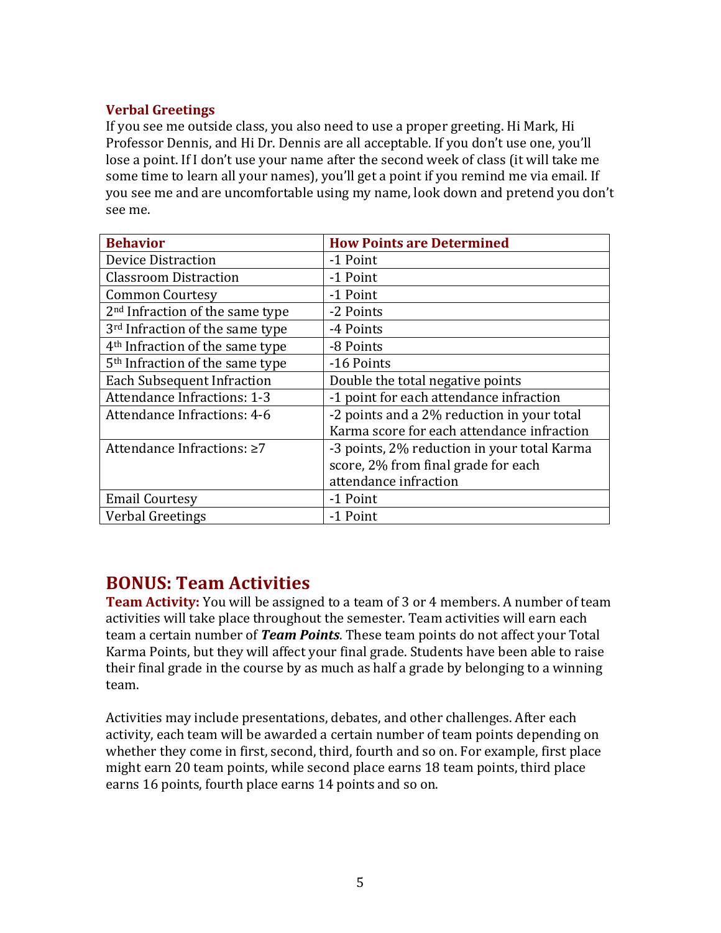#### **Verbal Greetings**

If you see me outside class, you also need to use a proper greeting. Hi Mark, Hi Professor Dennis, and Hi Dr. Dennis are all acceptable. If you don't use one, you'll lose a point. If I don't use your name after the second week of class (it will take me some time to learn all your names), you'll get a point if you remind me via email. If you see me and are uncomfortable using my name, look down and pretend you don't see me.

| <b>Behavior</b>                             | <b>How Points are Determined</b>            |
|---------------------------------------------|---------------------------------------------|
| <b>Device Distraction</b>                   | -1 Point                                    |
| <b>Classroom Distraction</b>                | -1 Point                                    |
| <b>Common Courtesy</b>                      | -1 Point                                    |
| 2 <sup>nd</sup> Infraction of the same type | -2 Points                                   |
| 3 <sup>rd</sup> Infraction of the same type | -4 Points                                   |
| 4 <sup>th</sup> Infraction of the same type | -8 Points                                   |
| 5 <sup>th</sup> Infraction of the same type | -16 Points                                  |
| <b>Each Subsequent Infraction</b>           | Double the total negative points            |
| <b>Attendance Infractions: 1-3</b>          | -1 point for each attendance infraction     |
| Attendance Infractions: 4-6                 | -2 points and a 2% reduction in your total  |
|                                             | Karma score for each attendance infraction  |
| Attendance Infractions: ≥7                  | -3 points, 2% reduction in your total Karma |
|                                             | score, 2% from final grade for each         |
|                                             | attendance infraction                       |
| <b>Email Courtesy</b>                       | -1 Point                                    |
| <b>Verbal Greetings</b>                     | -1 Point                                    |

### **BONUS: Team Activities**

**Team Activity:** You will be assigned to a team of 3 or 4 members. A number of team activities will take place throughout the semester. Team activities will earn each team a certain number of *Team Points*. These team points do not affect your Total Karma Points, but they will affect your final grade. Students have been able to raise their final grade in the course by as much as half a grade by belonging to a winning team. 

Activities may include presentations, debates, and other challenges. After each activity, each team will be awarded a certain number of team points depending on whether they come in first, second, third, fourth and so on. For example, first place might earn 20 team points, while second place earns 18 team points, third place earns 16 points, fourth place earns 14 points and so on.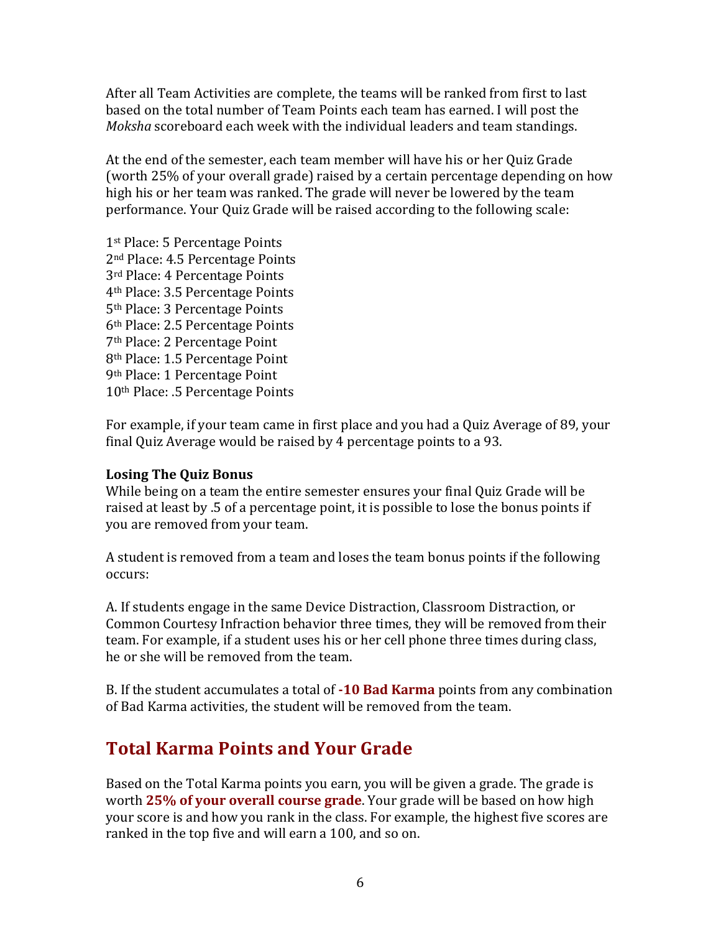After all Team Activities are complete, the teams will be ranked from first to last based on the total number of Team Points each team has earned. I will post the *Moksha* scoreboard each week with the individual leaders and team standings.

At the end of the semester, each team member will have his or her Quiz Grade (worth 25% of your overall grade) raised by a certain percentage depending on how high his or her team was ranked. The grade will never be lowered by the team performance. Your Quiz Grade will be raised according to the following scale:

1st Place: 5 Percentage Points 2<sup>nd</sup> Place: 4.5 Percentage Points 3<sup>rd</sup> Place: 4 Percentage Points 4th Place: 3.5 Percentage Points 5<sup>th</sup> Place: 3 Percentage Points 6th Place: 2.5 Percentage Points 7th Place: 2 Percentage Point 8<sup>th</sup> Place: 1.5 Percentage Point 9th Place: 1 Percentage Point 10<sup>th</sup> Place: .5 Percentage Points

For example, if your team came in first place and you had a Quiz Average of 89, your final Quiz Average would be raised by 4 percentage points to a 93.

#### Losing The **Ouiz Bonus**

While being on a team the entire semester ensures your final Quiz Grade will be raised at least by .5 of a percentage point, it is possible to lose the bonus points if you are removed from your team.

A student is removed from a team and loses the team bonus points if the following occurs: 

A. If students engage in the same Device Distraction, Classroom Distraction, or Common Courtesy Infraction behavior three times, they will be removed from their team. For example, if a student uses his or her cell phone three times during class, he or she will be removed from the team.

B. If the student accumulates a total of **-10 Bad Karma** points from any combination of Bad Karma activities, the student will be removed from the team.

## **Total Karma Points and Your Grade**

Based on the Total Karma points you earn, you will be given a grade. The grade is worth 25% of vour overall course grade. Your grade will be based on how high your score is and how you rank in the class. For example, the highest five scores are ranked in the top five and will earn a 100, and so on.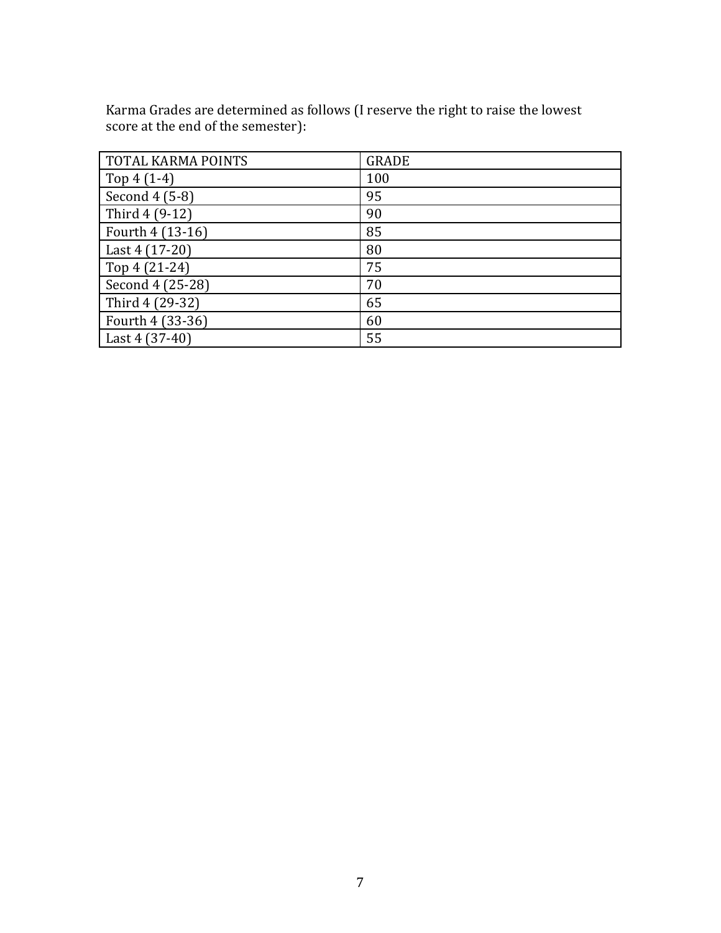Karma Grades are determined as follows (I reserve the right to raise the lowest score at the end of the semester):

| <b>TOTAL KARMA POINTS</b> | <b>GRADE</b> |
|---------------------------|--------------|
| Top $4(1-4)$              | 100          |
| Second 4 (5-8)            | 95           |
| Third 4 (9-12)            | 90           |
| Fourth 4 (13-16)          | 85           |
| Last 4 (17-20)            | 80           |
| Top 4 (21-24)             | 75           |
| Second 4 (25-28)          | 70           |
| Third 4 (29-32)           | 65           |
| Fourth 4 (33-36)          | 60           |
| Last 4 (37-40)            | 55           |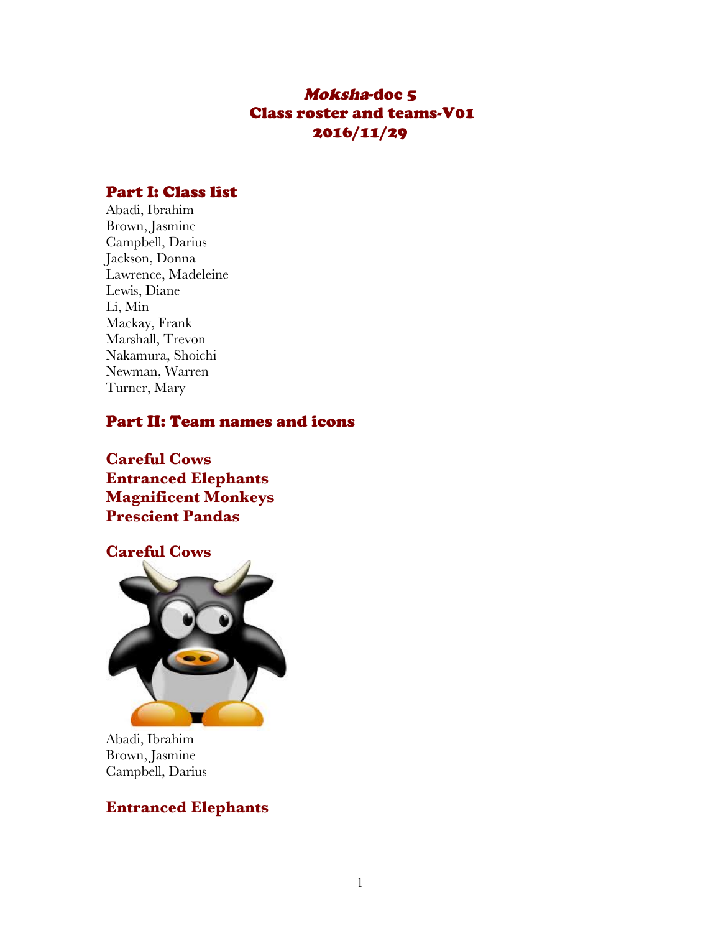### Moksha-doc 5 Class roster and teams-V01 2016/11/29

#### Part I: Class list

Abadi, Ibrahim Brown, Jasmine Campbell, Darius Jackson, Donna Lawrence, Madeleine Lewis, Diane Li, Min Mackay, Frank Marshall, Trevon Nakamura, Shoichi Newman, Warren Turner, Mary

#### Part II: Team names and icons

**Careful Cows Entranced Elephants Magnificent Monkeys Prescient Pandas**



Abadi, Ibrahim Brown, Jasmine Campbell, Darius

#### **Entranced Elephants**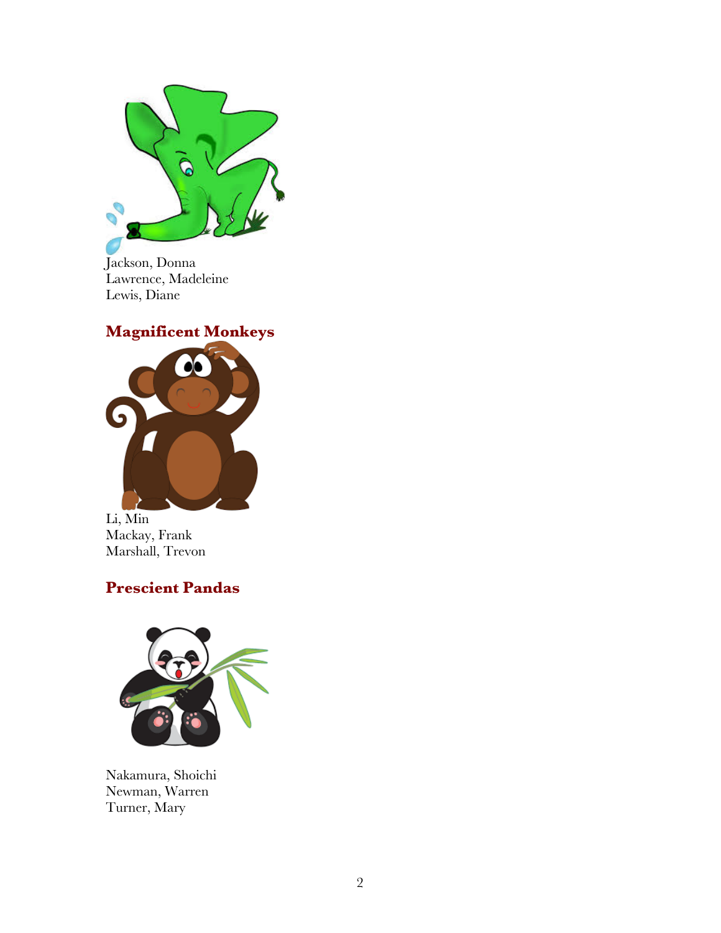

Jackson, Donna Lawrence, Madeleine Lewis, Diane

### **Magnificent Monkeys**



Li, Min Mackay, Frank Marshall, Trevon

### **Prescient Pandas**



Nakamura, Shoichi Newman, Warren Turner, Mary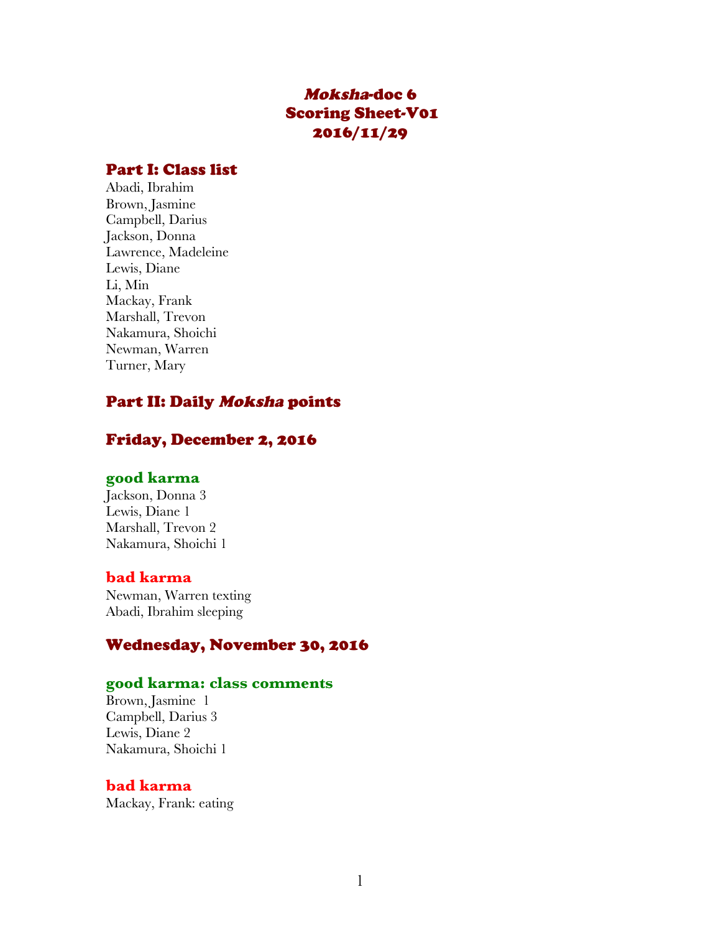### Moksha-doc 6 Scoring Sheet-V01 2016/11/29

#### Part I: Class list

Abadi, Ibrahim Brown, Jasmine Campbell, Darius Jackson, Donna Lawrence, Madeleine Lewis, Diane Li, Min Mackay, Frank Marshall, Trevon Nakamura, Shoichi Newman, Warren Turner, Mary

#### Part II: Daily Moksha points

#### Friday, December 2, 2016

#### **good karma**

Jackson, Donna 3 Lewis, Diane 1 Marshall, Trevon 2 Nakamura, Shoichi 1

#### **bad karma**

Newman, Warren texting Abadi, Ibrahim sleeping

#### Wednesday, November 30, 2016

#### **good karma: class comments**

Brown, Jasmine 1 Campbell, Darius 3 Lewis, Diane 2 Nakamura, Shoichi 1

#### **bad karma**

Mackay, Frank: eating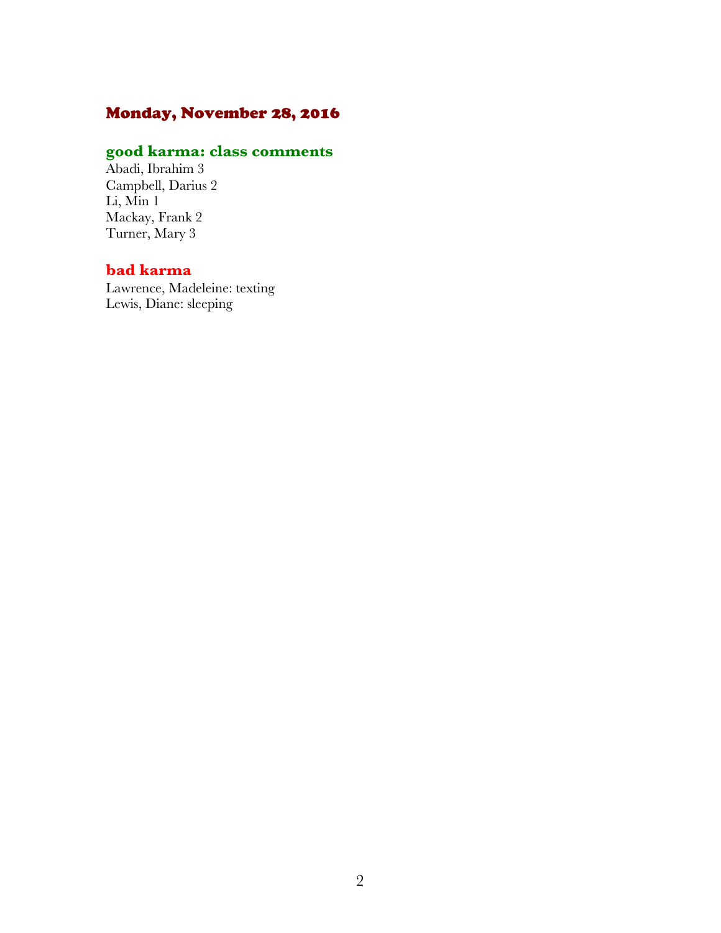### Monday, November 28, 2016

### **good karma: class comments**

Abadi, Ibrahim 3 Campbell, Darius 2 Li, Min 1 Mackay, Frank 2 Turner, Mary 3

#### **bad karma**

Lawrence, Madeleine: texting Lewis, Diane: sleeping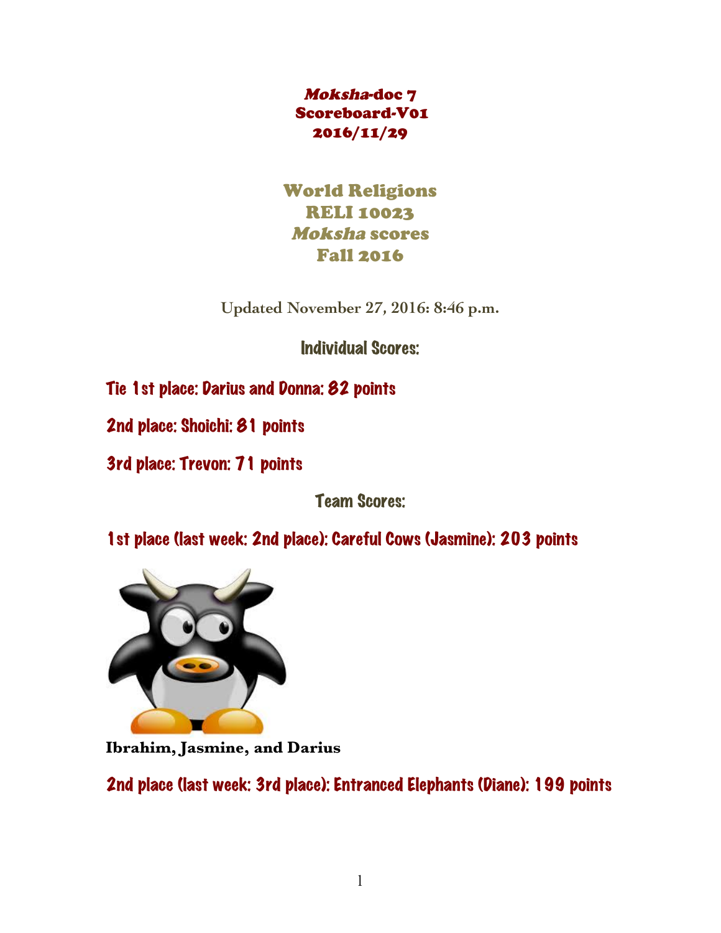Moksha-doc 7 Scoreboard-V01 2016/11/29

World Religions RELI 10023 Moksha scores Fall 2016

**Updated November 27, 2016: 8:46 p.m.**

Individual Scores:

Tie 1st place: Darius and Donna: 82 points

2nd place: Shoichi: 81 points

3rd place: Trevon: 71 points

Team Scores:

1st place (last week: 2nd place): Careful Cows (Jasmine): 203 points



**Ibrahim, Jasmine, and Darius**

2nd place (last week: 3rd place): Entranced Elephants (Diane): 199 points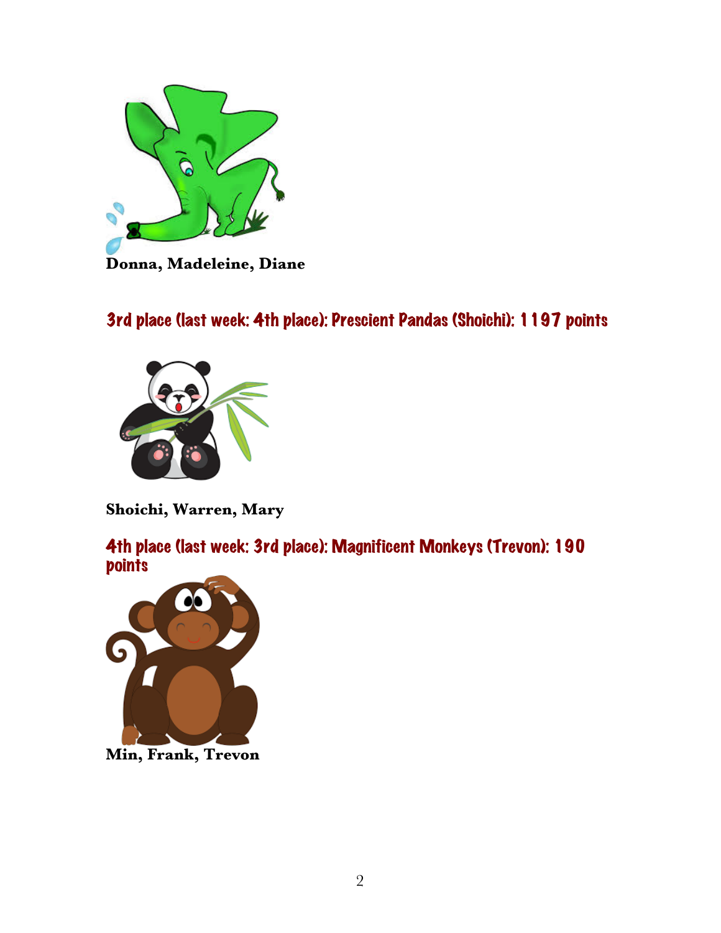

# 3rd place (last week: 4th place): Prescient Pandas (Shoichi): 1197 points



**Shoichi, Warren, Mary**

4th place (last week: 3rd place): Magnificent Monkeys (Trevon): 190 **points** 



**Min, Frank, Trevon**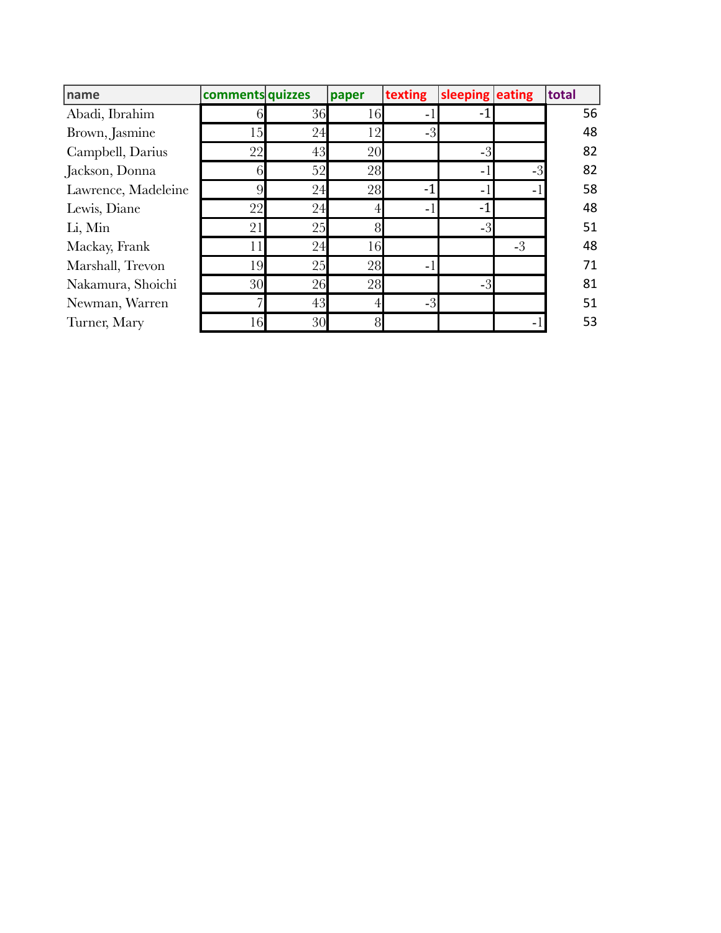| name                | comments quizzes |    | paper | texting        | sleeping eating |      | total |
|---------------------|------------------|----|-------|----------------|-----------------|------|-------|
| Abadi, Ibrahim      |                  | 36 | 16    | ۰              |                 |      | 56    |
| Brown, Jasmine      | 15               | 24 | 12    | $-3$           |                 |      | 48    |
| Campbell, Darius    | 22               | 43 | 20    |                | $-3$            |      | 82    |
| Jackson, Donna      |                  | 52 | 28    |                | ۰               | $-3$ | 82    |
| Lawrence, Madeleine |                  | 24 | 28    | $\blacksquare$ | $\blacksquare$  | ٠    | 58    |
| Lewis, Diane        | 22               | 24 |       | Ξ.             | ۰.              |      | 48    |
| Li, Min             | 21               | 25 | 8     |                | $-3$            |      | 51    |
| Mackay, Frank       |                  | 24 | 16    |                |                 | $-3$ | 48    |
| Marshall, Trevon    | 19               | 25 | 28    | ÷.             |                 |      | 71    |
| Nakamura, Shoichi   | 30               | 26 | 28    |                | $-3$            |      | 81    |
| Newman, Warren      |                  | 43 | 4     | $-3$           |                 |      | 51    |
| Turner, Mary        | 16               | 30 | 8     |                |                 |      | 53    |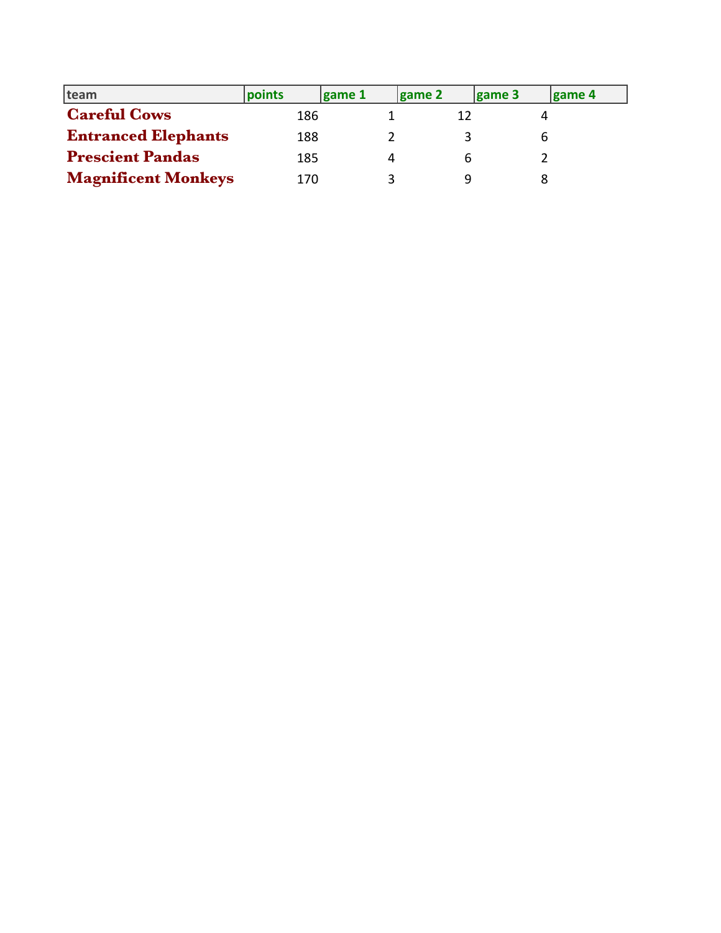| team                       | points | game 1 | $\vert$ game 2 | game 3 | game 4 |
|----------------------------|--------|--------|----------------|--------|--------|
| <b>Careful Cows</b>        | 186    |        |                |        |        |
| <b>Entranced Elephants</b> | 188    |        |                | ь      |        |
| <b>Prescient Pandas</b>    | 185    |        |                |        |        |
| <b>Magnificent Monkeys</b> | 170    |        |                |        |        |
|                            |        |        |                |        |        |